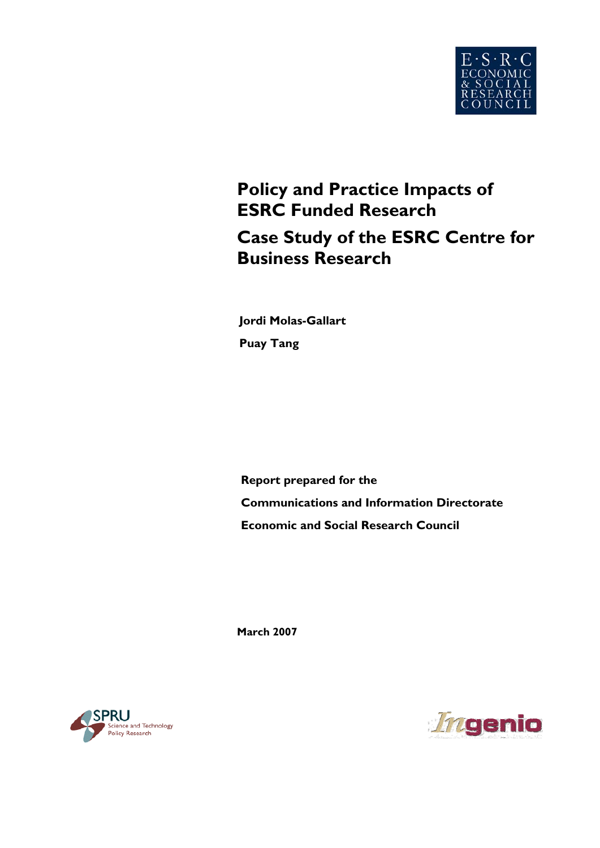

# **Policy and Practice Impacts of ESRC Funded Research Case Study of the ESRC Centre for Business Research**

**Puay Tang Jordi Molas-Gallart** 

**Report prepared for the Communications and Information Directorate Economic and Social Research Council** 

**March 2007** 



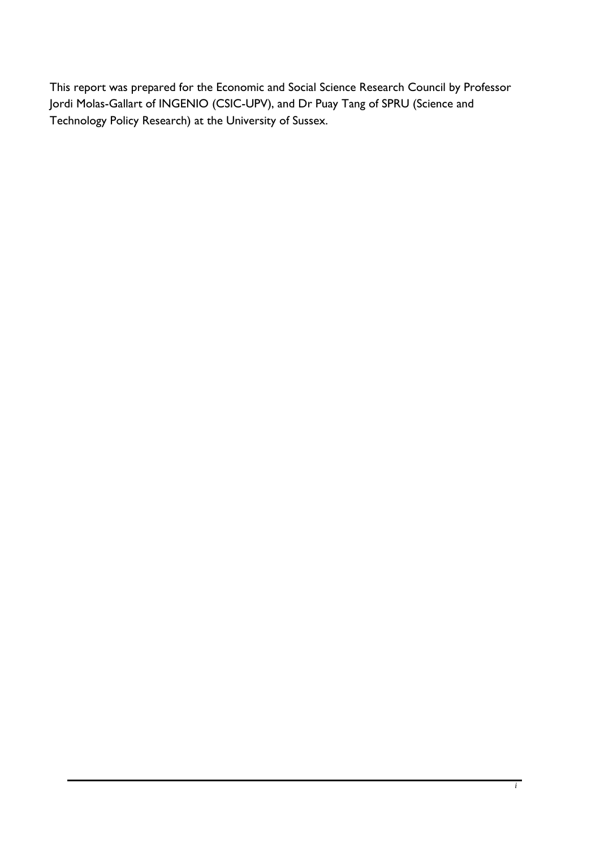This report was prepared for the Economic and Social Science Research Council by Professor Jordi Molas-Gallart of INGENIO (CSIC-UPV), and Dr Puay Tang of SPRU (Science and Technology Policy Research) at the University of Sussex.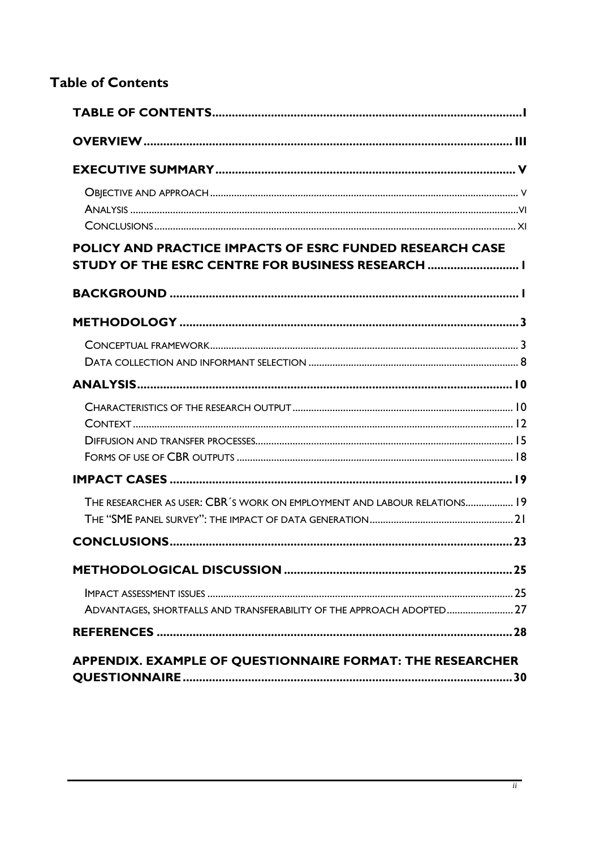# <span id="page-2-0"></span>**Table of Contents**

| POLICY AND PRACTICE IMPACTS OF ESRC FUNDED RESEARCH CASE<br>STUDY OF THE ESRC CENTRE FOR BUSINESS RESEARCH  I |
|---------------------------------------------------------------------------------------------------------------|
|                                                                                                               |
|                                                                                                               |
|                                                                                                               |
|                                                                                                               |
|                                                                                                               |
|                                                                                                               |
| THE RESEARCHER AS USER: CBR'S WORK ON EMPLOYMENT AND LABOUR RELATIONS 19                                      |
|                                                                                                               |
|                                                                                                               |
| ADVANTAGES, SHORTFALLS AND TRANSFERABILITY OF THE APPROACH ADOPTED 27                                         |
| APPENDIX. EXAMPLE OF QUESTIONNAIRE FORMAT: THE RESEARCHER                                                     |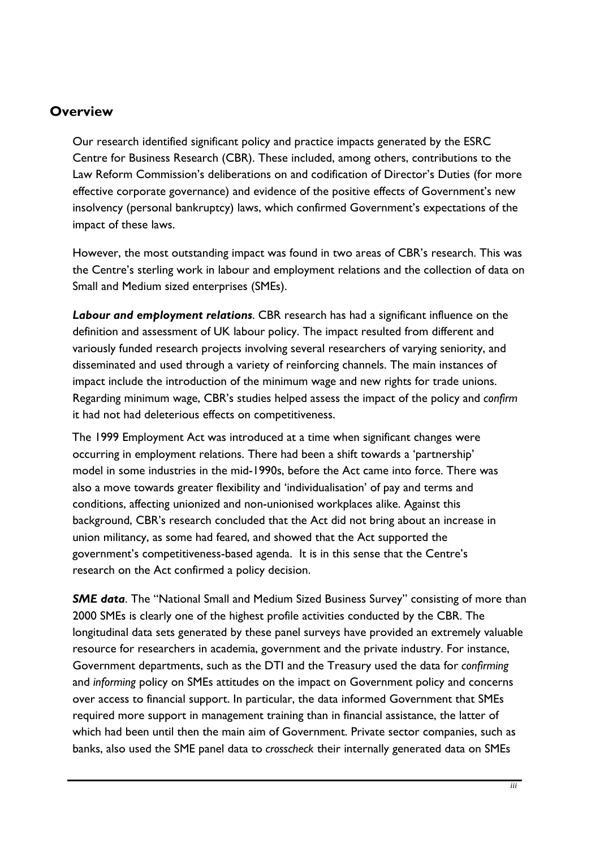# <span id="page-3-0"></span>**Overview**

Our research identified significant policy and practice impacts generated by the ESRC Centre for Business Research (CBR). These included, among others, contributions to the Law Reform Commission's deliberations on and codification of Director's Duties (for more effective corporate governance) and evidence of the positive effects of Government's new insolvency (personal bankruptcy) laws, which confirmed Government's expectations of the impact of these laws.

However, the most outstanding impact was found in two areas of CBR's research. This was the Centre's sterling work in labour and employment relations and the collection of data on Small and Medium sized enterprises (SMEs).

*Labour and employment relations*. CBR research has had a significant influence on the definition and assessment of UK labour policy. The impact resulted from different and variously funded research projects involving several researchers of varying seniority, and disseminated and used through a variety of reinforcing channels. The main instances of impact include the introduction of the minimum wage and new rights for trade unions. Regarding minimum wage, CBR's studies helped assess the impact of the policy and *confirm* it had not had deleterious effects on competitiveness.

The 1999 Employment Act was introduced at a time when significant changes were occurring in employment relations. There had been a shift towards a 'partnership' model in some industries in the mid-1990s, before the Act came into force. There was also a move towards greater flexibility and 'individualisation' of pay and terms and conditions, affecting unionized and non-unionised workplaces alike. Against this background, CBR's research concluded that the Act did not bring about an increase in union militancy, as some had feared, and showed that the Act supported the government's competitiveness-based agenda. It is in this sense that the Centre's research on the Act confirmed a policy decision.

**SME data**. The "National Small and Medium Sized Business Survey" consisting of more than 2000 SMEs is clearly one of the highest profile activities conducted by the CBR. The longitudinal data sets generated by these panel surveys have provided an extremely valuable resource for researchers in academia, government and the private industry. For instance, Government departments, such as the DTI and the Treasury used the data for *confirming* and *informing* policy on SMEs attitudes on the impact on Government policy and concerns over access to financial support. In particular, the data informed Government that SMEs required more support in management training than in financial assistance, the latter of which had been until then the main aim of Government. Private sector companies, such as banks, also used the SME panel data to *crosscheck* their internally generated data on SMEs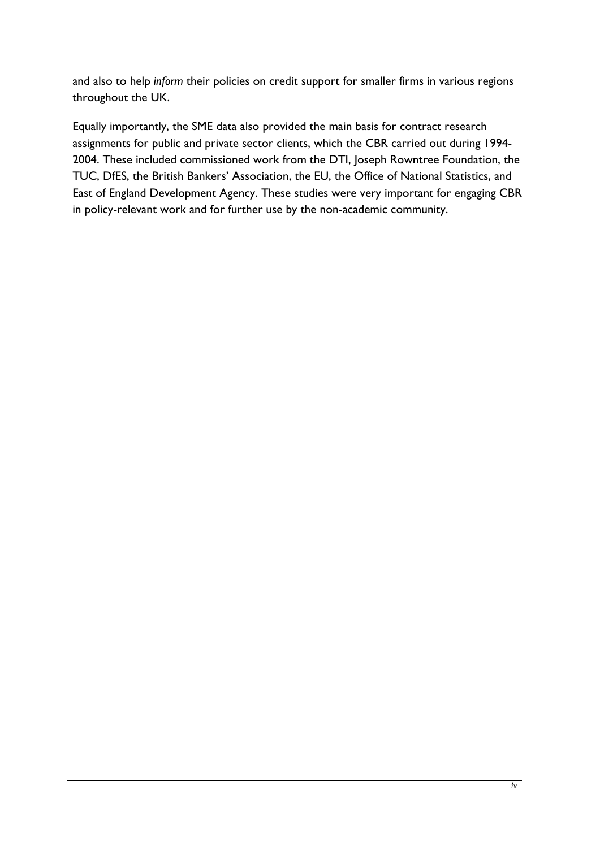and also to help *inform* their policies on credit support for smaller firms in various regions throughout the UK.

Equally importantly, the SME data also provided the main basis for contract research assignments for public and private sector clients, which the CBR carried out during 1994- 2004. These included commissioned work from the DTI, Joseph Rowntree Foundation, the TUC, DfES, the British Bankers' Association, the EU, the Office of National Statistics, and East of England Development Agency. These studies were very important for engaging CBR in policy-relevant work and for further use by the non-academic community.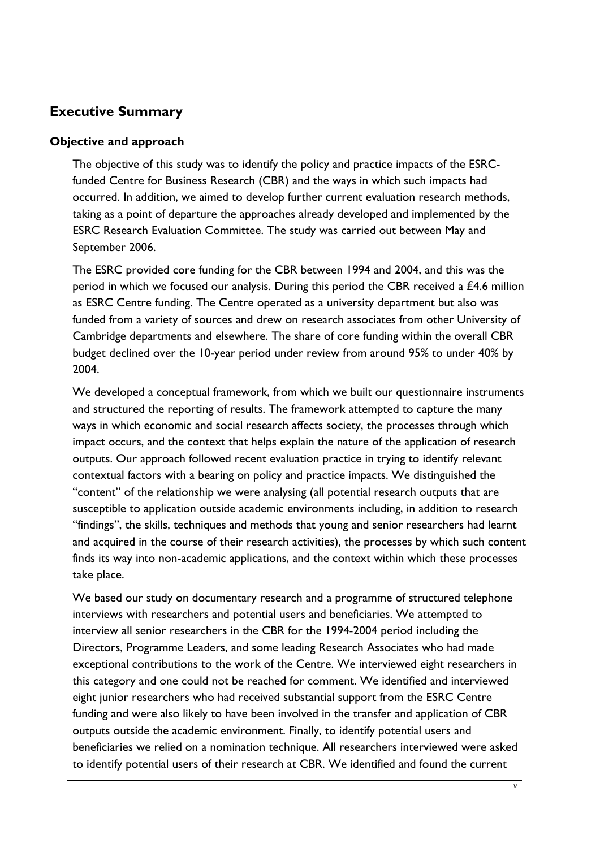# <span id="page-5-0"></span>**Executive Summary**

#### **Objective and approach**

The objective of this study was to identify the policy and practice impacts of the ESRCfunded Centre for Business Research (CBR) and the ways in which such impacts had occurred. In addition, we aimed to develop further current evaluation research methods, taking as a point of departure the approaches already developed and implemented by the ESRC Research Evaluation Committee. The study was carried out between May and September 2006.

The ESRC provided core funding for the CBR between 1994 and 2004, and this was the period in which we focused our analysis. During this period the CBR received a £4.6 million as ESRC Centre funding. The Centre operated as a university department but also was funded from a variety of sources and drew on research associates from other University of Cambridge departments and elsewhere. The share of core funding within the overall CBR budget declined over the 10-year period under review from around 95% to under 40% by 2004.

We developed a conceptual framework, from which we built our questionnaire instruments and structured the reporting of results. The framework attempted to capture the many ways in which economic and social research affects society, the processes through which impact occurs, and the context that helps explain the nature of the application of research outputs. Our approach followed recent evaluation practice in trying to identify relevant contextual factors with a bearing on policy and practice impacts. We distinguished the "content" of the relationship we were analysing (all potential research outputs that are susceptible to application outside academic environments including, in addition to research "findings", the skills, techniques and methods that young and senior researchers had learnt and acquired in the course of their research activities), the processes by which such content finds its way into non-academic applications, and the context within which these processes take place.

We based our study on documentary research and a programme of structured telephone interviews with researchers and potential users and beneficiaries. We attempted to interview all senior researchers in the CBR for the 1994-2004 period including the Directors, Programme Leaders, and some leading Research Associates who had made exceptional contributions to the work of the Centre. We interviewed eight researchers in this category and one could not be reached for comment. We identified and interviewed eight junior researchers who had received substantial support from the ESRC Centre funding and were also likely to have been involved in the transfer and application of CBR outputs outside the academic environment. Finally, to identify potential users and beneficiaries we relied on a nomination technique. All researchers interviewed were asked to identify potential users of their research at CBR. We identified and found the current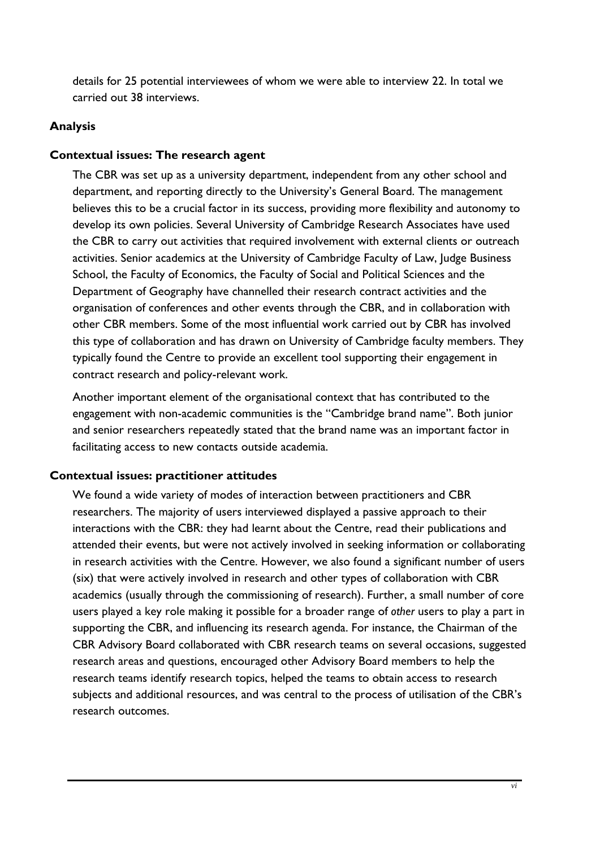<span id="page-6-0"></span>details for 25 potential interviewees of whom we were able to interview 22. In total we carried out 38 interviews.

#### **Analysis**

#### **Contextual issues: The research agent**

The CBR was set up as a university department, independent from any other school and department, and reporting directly to the University's General Board. The management believes this to be a crucial factor in its success, providing more flexibility and autonomy to develop its own policies. Several University of Cambridge Research Associates have used the CBR to carry out activities that required involvement with external clients or outreach activities. Senior academics at the University of Cambridge Faculty of Law, Judge Business School, the Faculty of Economics, the Faculty of Social and Political Sciences and the Department of Geography have channelled their research contract activities and the organisation of conferences and other events through the CBR, and in collaboration with other CBR members. Some of the most influential work carried out by CBR has involved this type of collaboration and has drawn on University of Cambridge faculty members. They typically found the Centre to provide an excellent tool supporting their engagement in contract research and policy-relevant work.

Another important element of the organisational context that has contributed to the engagement with non-academic communities is the "Cambridge brand name". Both junior and senior researchers repeatedly stated that the brand name was an important factor in facilitating access to new contacts outside academia.

# **Contextual issues: practitioner attitudes**

We found a wide variety of modes of interaction between practitioners and CBR researchers. The majority of users interviewed displayed a passive approach to their interactions with the CBR: they had learnt about the Centre, read their publications and attended their events, but were not actively involved in seeking information or collaborating in research activities with the Centre. However, we also found a significant number of users (six) that were actively involved in research and other types of collaboration with CBR academics (usually through the commissioning of research). Further, a small number of core users played a key role making it possible for a broader range of *other* users to play a part in supporting the CBR, and influencing its research agenda. For instance, the Chairman of the CBR Advisory Board collaborated with CBR research teams on several occasions, suggested research areas and questions, encouraged other Advisory Board members to help the research teams identify research topics, helped the teams to obtain access to research subjects and additional resources, and was central to the process of utilisation of the CBR's research outcomes.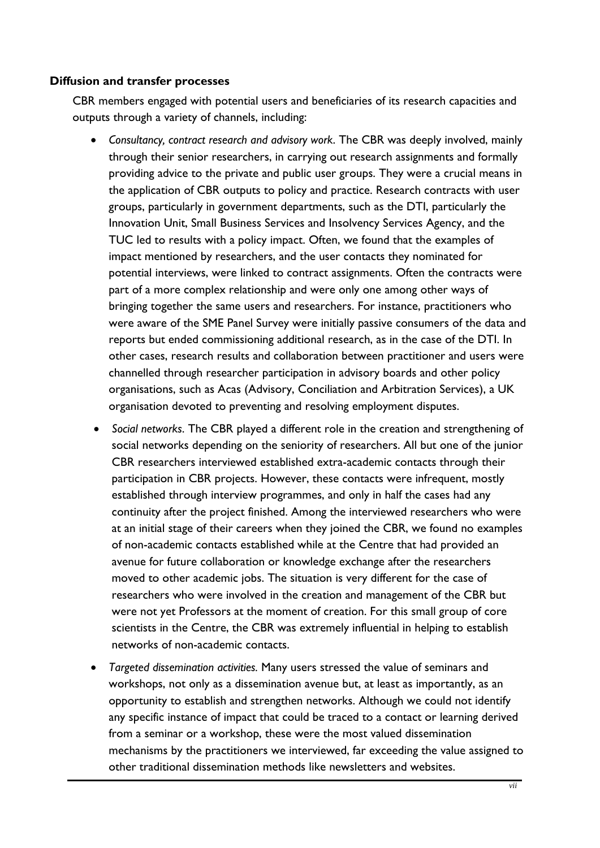#### **Diffusion and transfer processes**

CBR members engaged with potential users and beneficiaries of its research capacities and outputs through a variety of channels, including:

- *Consultancy, contract research and advisory work*. The CBR was deeply involved, mainly through their senior researchers, in carrying out research assignments and formally providing advice to the private and public user groups. They were a crucial means in the application of CBR outputs to policy and practice. Research contracts with user groups, particularly in government departments, such as the DTI, particularly the Innovation Unit, Small Business Services and Insolvency Services Agency, and the TUC led to results with a policy impact. Often, we found that the examples of impact mentioned by researchers, and the user contacts they nominated for potential interviews, were linked to contract assignments. Often the contracts were part of a more complex relationship and were only one among other ways of bringing together the same users and researchers. For instance, practitioners who were aware of the SME Panel Survey were initially passive consumers of the data and reports but ended commissioning additional research, as in the case of the DTI. In other cases, research results and collaboration between practitioner and users were channelled through researcher participation in advisory boards and other policy organisations, such as Acas (Advisory, Conciliation and Arbitration Services), a UK organisation devoted to preventing and resolving employment disputes.
- *Social networks*. The CBR played a different role in the creation and strengthening of social networks depending on the seniority of researchers. All but one of the junior CBR researchers interviewed established extra-academic contacts through their participation in CBR projects. However, these contacts were infrequent, mostly established through interview programmes, and only in half the cases had any continuity after the project finished. Among the interviewed researchers who were at an initial stage of their careers when they joined the CBR, we found no examples of non-academic contacts established while at the Centre that had provided an avenue for future collaboration or knowledge exchange after the researchers moved to other academic jobs. The situation is very different for the case of researchers who were involved in the creation and management of the CBR but were not yet Professors at the moment of creation. For this small group of core scientists in the Centre, the CBR was extremely influential in helping to establish networks of non-academic contacts.
- *Targeted dissemination activities.* Many users stressed the value of seminars and workshops, not only as a dissemination avenue but, at least as importantly, as an opportunity to establish and strengthen networks. Although we could not identify any specific instance of impact that could be traced to a contact or learning derived from a seminar or a workshop, these were the most valued dissemination mechanisms by the practitioners we interviewed, far exceeding the value assigned to other traditional dissemination methods like newsletters and websites.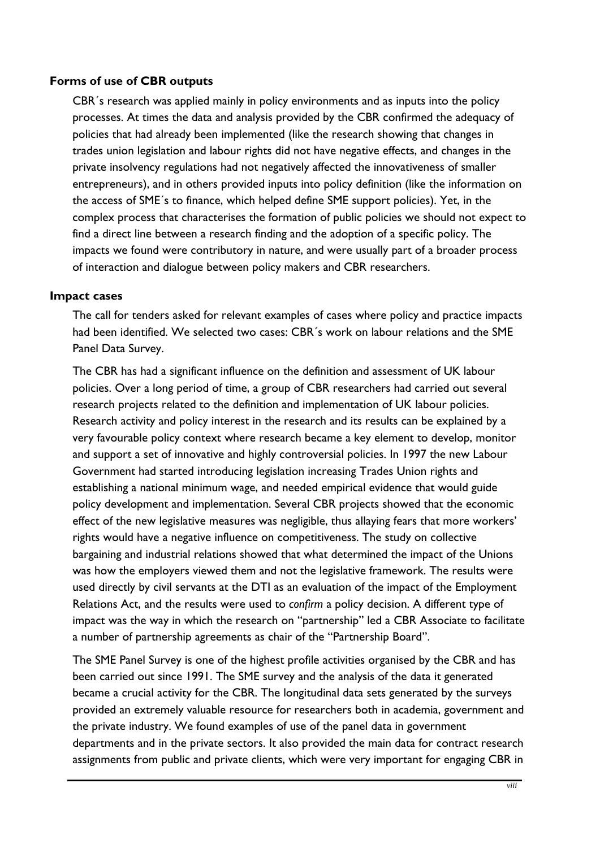#### **Forms of use of CBR outputs**

CBR´s research was applied mainly in policy environments and as inputs into the policy processes. At times the data and analysis provided by the CBR confirmed the adequacy of policies that had already been implemented (like the research showing that changes in trades union legislation and labour rights did not have negative effects, and changes in the private insolvency regulations had not negatively affected the innovativeness of smaller entrepreneurs), and in others provided inputs into policy definition (like the information on the access of SME´s to finance, which helped define SME support policies). Yet, in the complex process that characterises the formation of public policies we should not expect to find a direct line between a research finding and the adoption of a specific policy. The impacts we found were contributory in nature, and were usually part of a broader process of interaction and dialogue between policy makers and CBR researchers.

#### **Impact cases**

The call for tenders asked for relevant examples of cases where policy and practice impacts had been identified. We selected two cases: CBR´s work on labour relations and the SME Panel Data Survey.

The CBR has had a significant influence on the definition and assessment of UK labour policies. Over a long period of time, a group of CBR researchers had carried out several research projects related to the definition and implementation of UK labour policies. Research activity and policy interest in the research and its results can be explained by a very favourable policy context where research became a key element to develop, monitor and support a set of innovative and highly controversial policies. In 1997 the new Labour Government had started introducing legislation increasing Trades Union rights and establishing a national minimum wage, and needed empirical evidence that would guide policy development and implementation. Several CBR projects showed that the economic effect of the new legislative measures was negligible, thus allaying fears that more workers' rights would have a negative influence on competitiveness. The study on collective bargaining and industrial relations showed that what determined the impact of the Unions was how the employers viewed them and not the legislative framework. The results were used directly by civil servants at the DTI as an evaluation of the impact of the Employment Relations Act, and the results were used to *confirm* a policy decision. A different type of impact was the way in which the research on "partnership" led a CBR Associate to facilitate a number of partnership agreements as chair of the "Partnership Board".

The SME Panel Survey is one of the highest profile activities organised by the CBR and has been carried out since 1991. The SME survey and the analysis of the data it generated became a crucial activity for the CBR. The longitudinal data sets generated by the surveys provided an extremely valuable resource for researchers both in academia, government and the private industry. We found examples of use of the panel data in government departments and in the private sectors. It also provided the main data for contract research assignments from public and private clients, which were very important for engaging CBR in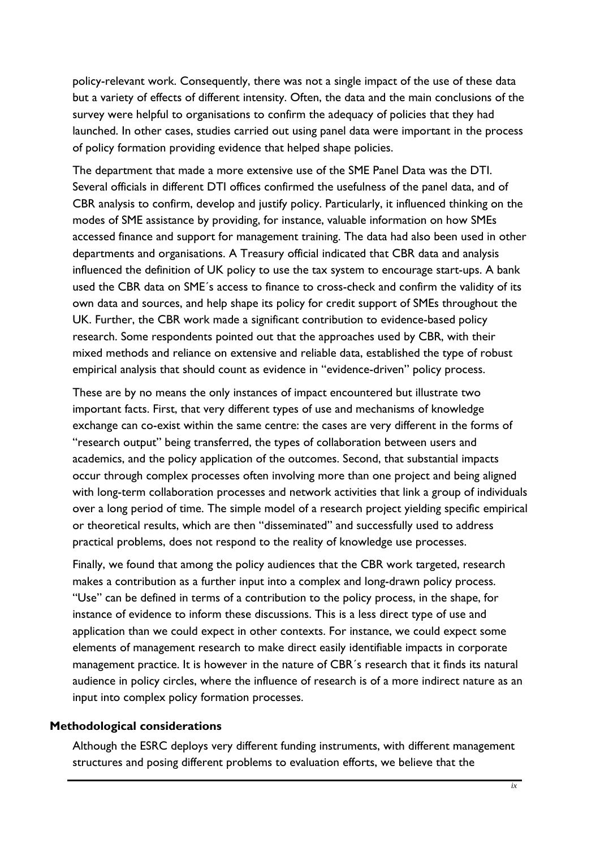policy-relevant work. Consequently, there was not a single impact of the use of these data but a variety of effects of different intensity. Often, the data and the main conclusions of the survey were helpful to organisations to confirm the adequacy of policies that they had launched. In other cases, studies carried out using panel data were important in the process of policy formation providing evidence that helped shape policies.

The department that made a more extensive use of the SME Panel Data was the DTI. Several officials in different DTI offices confirmed the usefulness of the panel data, and of CBR analysis to confirm, develop and justify policy. Particularly, it influenced thinking on the modes of SME assistance by providing, for instance, valuable information on how SMEs accessed finance and support for management training. The data had also been used in other departments and organisations. A Treasury official indicated that CBR data and analysis influenced the definition of UK policy to use the tax system to encourage start-ups. A bank used the CBR data on SME´s access to finance to cross-check and confirm the validity of its own data and sources, and help shape its policy for credit support of SMEs throughout the UK. Further, the CBR work made a significant contribution to evidence-based policy research. Some respondents pointed out that the approaches used by CBR, with their mixed methods and reliance on extensive and reliable data, established the type of robust empirical analysis that should count as evidence in "evidence-driven" policy process.

These are by no means the only instances of impact encountered but illustrate two important facts. First, that very different types of use and mechanisms of knowledge exchange can co-exist within the same centre: the cases are very different in the forms of "research output" being transferred, the types of collaboration between users and academics, and the policy application of the outcomes. Second, that substantial impacts occur through complex processes often involving more than one project and being aligned with long-term collaboration processes and network activities that link a group of individuals over a long period of time. The simple model of a research project yielding specific empirical or theoretical results, which are then "disseminated" and successfully used to address practical problems, does not respond to the reality of knowledge use processes.

Finally, we found that among the policy audiences that the CBR work targeted, research makes a contribution as a further input into a complex and long-drawn policy process. "Use" can be defined in terms of a contribution to the policy process, in the shape, for instance of evidence to inform these discussions. This is a less direct type of use and application than we could expect in other contexts. For instance, we could expect some elements of management research to make direct easily identifiable impacts in corporate management practice. It is however in the nature of CBR´s research that it finds its natural audience in policy circles, where the influence of research is of a more indirect nature as an input into complex policy formation processes.

#### **Methodological considerations**

Although the ESRC deploys very different funding instruments, with different management structures and posing different problems to evaluation efforts, we believe that the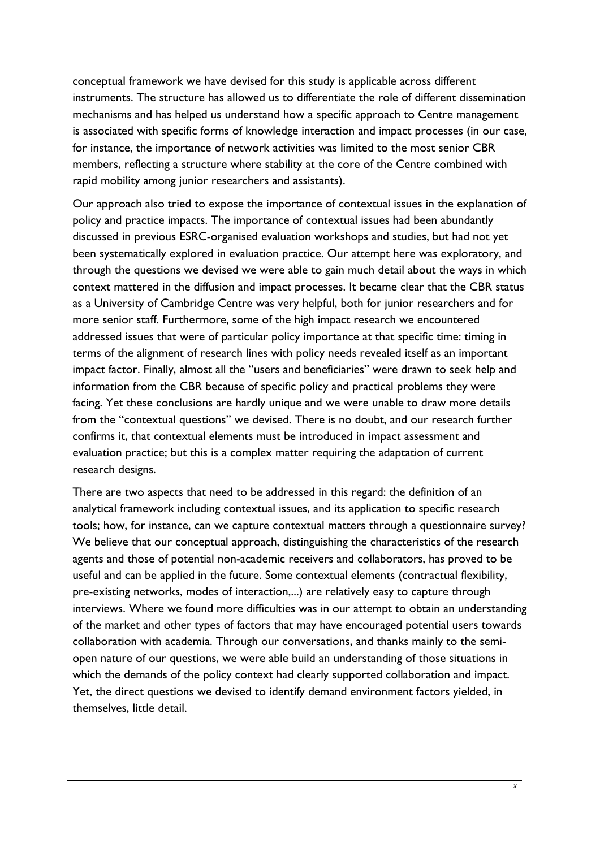conceptual framework we have devised for this study is applicable across different instruments. The structure has allowed us to differentiate the role of different dissemination mechanisms and has helped us understand how a specific approach to Centre management is associated with specific forms of knowledge interaction and impact processes (in our case, for instance, the importance of network activities was limited to the most senior CBR members, reflecting a structure where stability at the core of the Centre combined with rapid mobility among junior researchers and assistants).

Our approach also tried to expose the importance of contextual issues in the explanation of policy and practice impacts. The importance of contextual issues had been abundantly discussed in previous ESRC-organised evaluation workshops and studies, but had not yet been systematically explored in evaluation practice. Our attempt here was exploratory, and through the questions we devised we were able to gain much detail about the ways in which context mattered in the diffusion and impact processes. It became clear that the CBR status as a University of Cambridge Centre was very helpful, both for junior researchers and for more senior staff. Furthermore, some of the high impact research we encountered addressed issues that were of particular policy importance at that specific time: timing in terms of the alignment of research lines with policy needs revealed itself as an important impact factor. Finally, almost all the "users and beneficiaries" were drawn to seek help and information from the CBR because of specific policy and practical problems they were facing. Yet these conclusions are hardly unique and we were unable to draw more details from the "contextual questions" we devised. There is no doubt, and our research further confirms it, that contextual elements must be introduced in impact assessment and evaluation practice; but this is a complex matter requiring the adaptation of current research designs.

There are two aspects that need to be addressed in this regard: the definition of an analytical framework including contextual issues, and its application to specific research tools; how, for instance, can we capture contextual matters through a questionnaire survey? We believe that our conceptual approach, distinguishing the characteristics of the research agents and those of potential non-academic receivers and collaborators, has proved to be useful and can be applied in the future. Some contextual elements (contractual flexibility, pre-existing networks, modes of interaction,...) are relatively easy to capture through interviews. Where we found more difficulties was in our attempt to obtain an understanding of the market and other types of factors that may have encouraged potential users towards collaboration with academia. Through our conversations, and thanks mainly to the semiopen nature of our questions, we were able build an understanding of those situations in which the demands of the policy context had clearly supported collaboration and impact. Yet, the direct questions we devised to identify demand environment factors yielded, in themselves, little detail.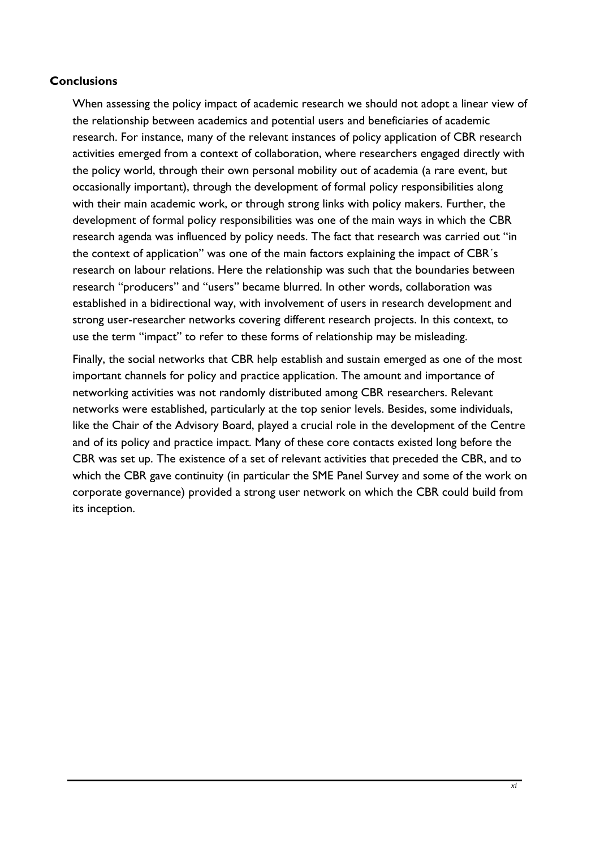# <span id="page-11-0"></span>**Conclusions**

When assessing the policy impact of academic research we should not adopt a linear view of the relationship between academics and potential users and beneficiaries of academic research. For instance, many of the relevant instances of policy application of CBR research activities emerged from a context of collaboration, where researchers engaged directly with the policy world, through their own personal mobility out of academia (a rare event, but occasionally important), through the development of formal policy responsibilities along with their main academic work, or through strong links with policy makers. Further, the development of formal policy responsibilities was one of the main ways in which the CBR research agenda was influenced by policy needs. The fact that research was carried out "in the context of application" was one of the main factors explaining the impact of CBR´s research on labour relations. Here the relationship was such that the boundaries between research "producers" and "users" became blurred. In other words, collaboration was established in a bidirectional way, with involvement of users in research development and strong user-researcher networks covering different research projects. In this context, to use the term "impact" to refer to these forms of relationship may be misleading.

Finally, the social networks that CBR help establish and sustain emerged as one of the most important channels for policy and practice application. The amount and importance of networking activities was not randomly distributed among CBR researchers. Relevant networks were established, particularly at the top senior levels. Besides, some individuals, like the Chair of the Advisory Board, played a crucial role in the development of the Centre and of its policy and practice impact. Many of these core contacts existed long before the CBR was set up. The existence of a set of relevant activities that preceded the CBR, and to which the CBR gave continuity (in particular the SME Panel Survey and some of the work on corporate governance) provided a strong user network on which the CBR could build from its inception.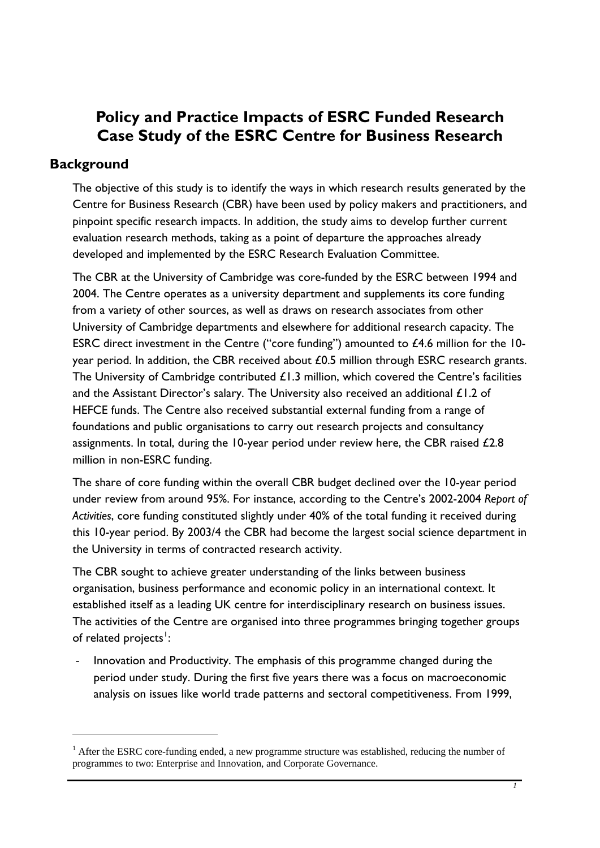# <span id="page-12-0"></span>**Policy and Practice Impacts of ESRC Funded Research Case Study of the ESRC Centre for Business Research**

# **Background**

1

The objective of this study is to identify the ways in which research results generated by the Centre for Business Research (CBR) have been used by policy makers and practitioners, and pinpoint specific research impacts. In addition, the study aims to develop further current evaluation research methods, taking as a point of departure the approaches already developed and implemented by the ESRC Research Evaluation Committee.

The CBR at the University of Cambridge was core-funded by the ESRC between 1994 and 2004. The Centre operates as a university department and supplements its core funding from a variety of other sources, as well as draws on research associates from other University of Cambridge departments and elsewhere for additional research capacity. The ESRC direct investment in the Centre ("core funding") amounted to £4.6 million for the 10 year period. In addition, the CBR received about £0.5 million through ESRC research grants. The University of Cambridge contributed £1.3 million, which covered the Centre's facilities and the Assistant Director's salary. The University also received an additional £1.2 of HEFCE funds. The Centre also received substantial external funding from a range of foundations and public organisations to carry out research projects and consultancy assignments. In total, during the 10-year period under review here, the CBR raised £2.8 million in non-ESRC funding.

The share of core funding within the overall CBR budget declined over the 10-year period under review from around 95%. For instance, according to the Centre's 2002-2004 *Report of Activities*, core funding constituted slightly under 40% of the total funding it received during this 10-year period. By 2003/4 the CBR had become the largest social science department in the University in terms of contracted research activity.

The CBR sought to achieve greater understanding of the links between business organisation, business performance and economic policy in an international context. It established itself as a leading UK centre for interdisciplinary research on business issues. The activities of the Centre are organised into three programmes bringing together groups of related projects<sup>[1](#page-12-0)</sup>:

Innovation and Productivity. The emphasis of this programme changed during the period under study. During the first five years there was a focus on macroeconomic analysis on issues like world trade patterns and sectoral competitiveness. From 1999,

<sup>&</sup>lt;sup>1</sup> After the ESRC core-funding ended, a new programme structure was established, reducing the number of programmes to two: Enterprise and Innovation, and Corporate Governance.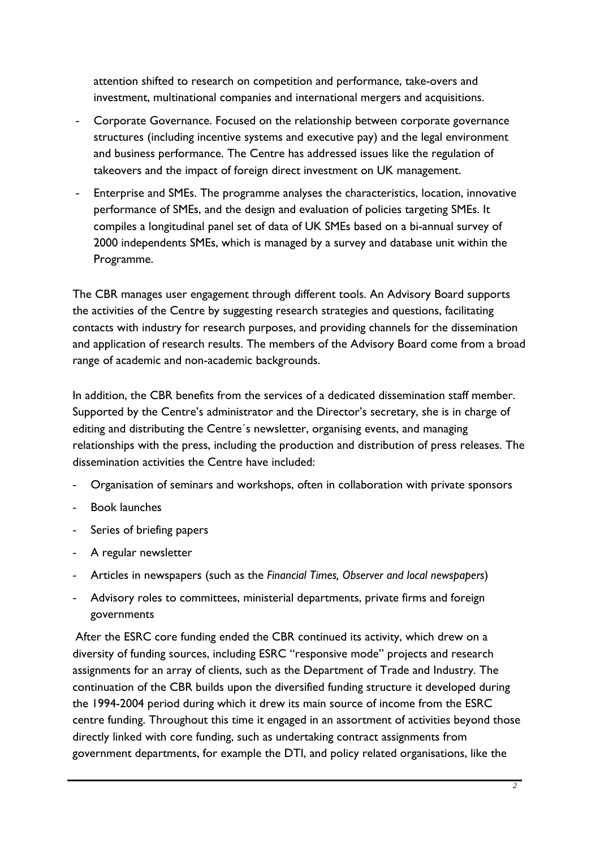attention shifted to research on competition and performance, take-overs and investment, multinational companies and international mergers and acquisitions.

- Corporate Governance. Focused on the relationship between corporate governance structures (including incentive systems and executive pay) and the legal environment and business performance. The Centre has addressed issues like the regulation of takeovers and the impact of foreign direct investment on UK management.
- Enterprise and SMEs. The programme analyses the characteristics, location, innovative performance of SMEs, and the design and evaluation of policies targeting SMEs. It compiles a longitudinal panel set of data of UK SMEs based on a bi-annual survey of 2000 independents SMEs, which is managed by a survey and database unit within the Programme.

The CBR manages user engagement through different tools. An Advisory Board supports the activities of the Centre by suggesting research strategies and questions, facilitating contacts with industry for research purposes, and providing channels for the dissemination and application of research results. The members of the Advisory Board come from a broad range of academic and non-academic backgrounds.

In addition, the CBR benefits from the services of a dedicated dissemination staff member. Supported by the Centre's administrator and the Director's secretary, she is in charge of editing and distributing the Centre´s newsletter, organising events, and managing relationships with the press, including the production and distribution of press releases. The dissemination activities the Centre have included:

- Organisation of seminars and workshops, often in collaboration with private sponsors
- Book launches
- Series of briefing papers
- A regular newsletter
- Articles in newspapers (such as the *Financial Times, Observer and local newspapers*)
- Advisory roles to committees, ministerial departments, private firms and foreign governments

After the ESRC core funding ended the CBR continued its activity, which drew on a diversity of funding sources, including ESRC "responsive mode" projects and research assignments for an array of clients, such as the Department of Trade and Industry. The continuation of the CBR builds upon the diversified funding structure it developed during the 1994-2004 period during which it drew its main source of income from the ESRC centre funding. Throughout this time it engaged in an assortment of activities beyond those directly linked with core funding, such as undertaking contract assignments from government departments, for example the DTI, and policy related organisations, like the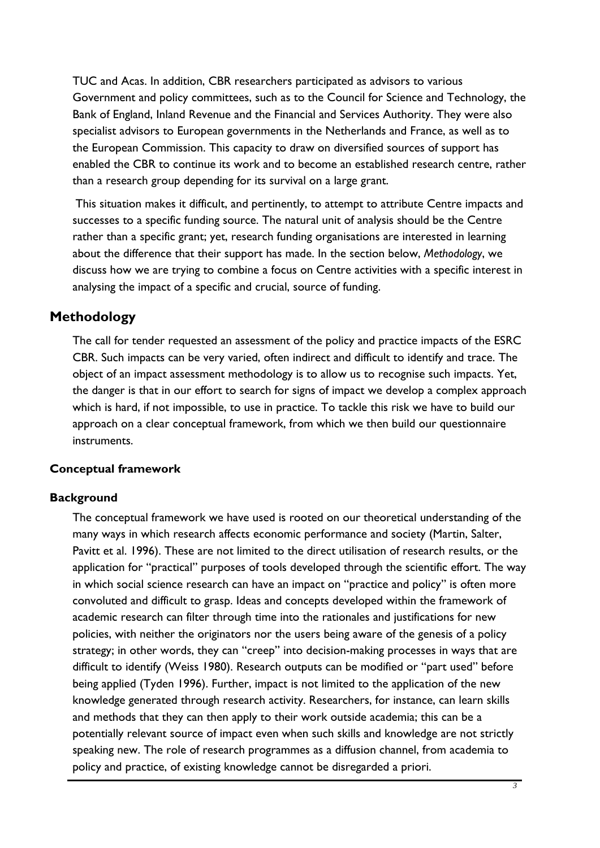<span id="page-14-0"></span>TUC and Acas. In addition, CBR researchers participated as advisors to various Government and policy committees, such as to the Council for Science and Technology, the Bank of England, Inland Revenue and the Financial and Services Authority. They were also specialist advisors to European governments in the Netherlands and France, as well as to the European Commission. This capacity to draw on diversified sources of support has enabled the CBR to continue its work and to become an established research centre, rather than a research group depending for its survival on a large grant.

This situation makes it difficult, and pertinently, to attempt to attribute Centre impacts and successes to a specific funding source. The natural unit of analysis should be the Centre rather than a specific grant; yet, research funding organisations are interested in learning about the difference that their support has made. In the section below, *Methodology*, we discuss how we are trying to combine a focus on Centre activities with a specific interest in analysing the impact of a specific and crucial, source of funding.

# **Methodology**

The call for tender requested an assessment of the policy and practice impacts of the ESRC CBR. Such impacts can be very varied, often indirect and difficult to identify and trace. The object of an impact assessment methodology is to allow us to recognise such impacts. Yet, the danger is that in our effort to search for signs of impact we develop a complex approach which is hard, if not impossible, to use in practice. To tackle this risk we have to build our approach on a clear conceptual framework, from which we then build our questionnaire instruments.

# **Conceptual framework**

# **Background**

The conceptual framework we have used is rooted on our theoretical understanding of the many ways in which research affects economic performance and society (Martin, Salter, Pavitt et al. 1996). These are not limited to the direct utilisation of research results, or the application for "practical" purposes of tools developed through the scientific effort. The way in which social science research can have an impact on "practice and policy" is often more convoluted and difficult to grasp. Ideas and concepts developed within the framework of academic research can filter through time into the rationales and justifications for new policies, with neither the originators nor the users being aware of the genesis of a policy strategy; in other words, they can "creep" into decision-making processes in ways that are difficult to identify (Weiss 1980). Research outputs can be modified or "part used" before being applied (Tyden 1996). Further, impact is not limited to the application of the new knowledge generated through research activity. Researchers, for instance, can learn skills and methods that they can then apply to their work outside academia; this can be a potentially relevant source of impact even when such skills and knowledge are not strictly speaking new. The role of research programmes as a diffusion channel, from academia to policy and practice, of existing knowledge cannot be disregarded a priori.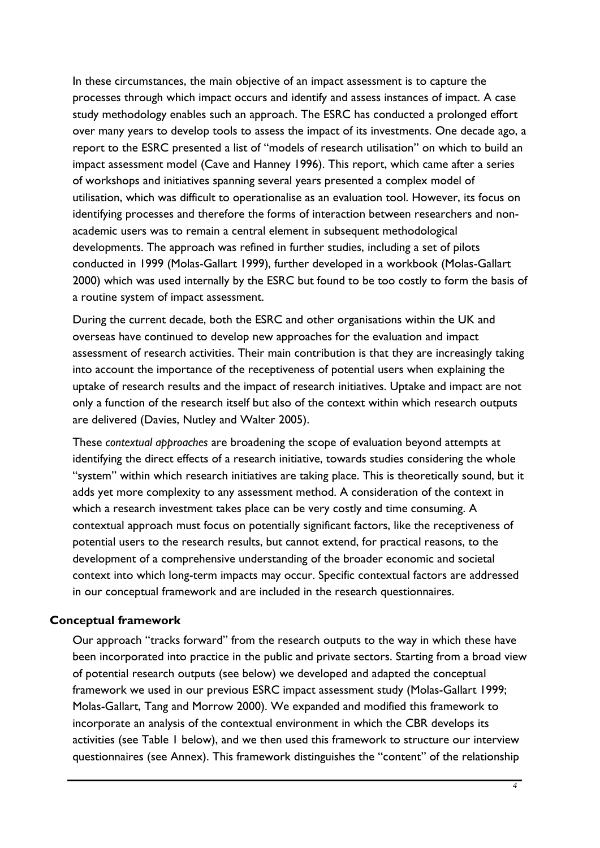In these circumstances, the main objective of an impact assessment is to capture the processes through which impact occurs and identify and assess instances of impact. A case study methodology enables such an approach. The ESRC has conducted a prolonged effort over many years to develop tools to assess the impact of its investments. One decade ago, a report to the ESRC presented a list of "models of research utilisation" on which to build an impact assessment model (Cave and Hanney 1996). This report, which came after a series of workshops and initiatives spanning several years presented a complex model of utilisation, which was difficult to operationalise as an evaluation tool. However, its focus on identifying processes and therefore the forms of interaction between researchers and nonacademic users was to remain a central element in subsequent methodological developments. The approach was refined in further studies, including a set of pilots conducted in 1999 (Molas-Gallart 1999), further developed in a workbook (Molas-Gallart 2000) which was used internally by the ESRC but found to be too costly to form the basis of a routine system of impact assessment.

During the current decade, both the ESRC and other organisations within the UK and overseas have continued to develop new approaches for the evaluation and impact assessment of research activities. Their main contribution is that they are increasingly taking into account the importance of the receptiveness of potential users when explaining the uptake of research results and the impact of research initiatives. Uptake and impact are not only a function of the research itself but also of the context within which research outputs are delivered (Davies, Nutley and Walter 2005).

These *contextual approaches* are broadening the scope of evaluation beyond attempts at identifying the direct effects of a research initiative, towards studies considering the whole "system" within which research initiatives are taking place. This is theoretically sound, but it adds yet more complexity to any assessment method. A consideration of the context in which a research investment takes place can be very costly and time consuming. A contextual approach must focus on potentially significant factors, like the receptiveness of potential users to the research results, but cannot extend, for practical reasons, to the development of a comprehensive understanding of the broader economic and societal context into which long-term impacts may occur. Specific contextual factors are addressed in our conceptual framework and are included in the research questionnaires.

# **Conceptual framework**

Our approach "tracks forward" from the research outputs to the way in which these have been incorporated into practice in the public and private sectors. Starting from a broad view of potential research outputs (see below) we developed and adapted the conceptual framework we used in our previous ESRC impact assessment study (Molas-Gallart 1999; Molas-Gallart, Tang and Morrow 2000). We expanded and modified this framework to incorporate an analysis of the contextual environment in which the CBR develops its activities (see Table 1 below), and we then used this framework to structure our interview questionnaires (see Annex). This framework distinguishes the "content" of the relationship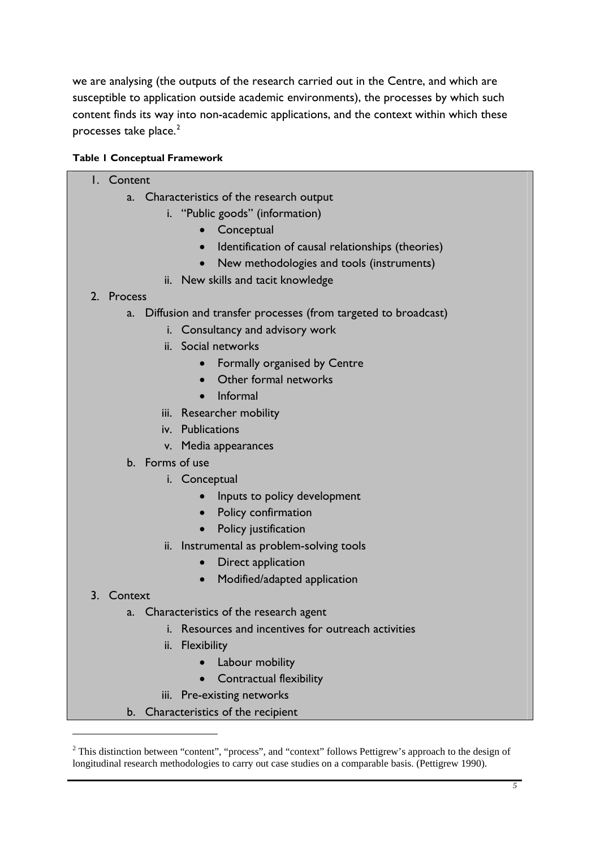<span id="page-16-0"></span>we are analysing (the outputs of the research carried out in the Centre, and which are susceptible to application outside academic environments), the processes by which such content finds its way into non-academic applications, and the context within which these processes take place. $2$ 

# **Table 1 Conceptual Framework**

#### 1. Content

- a. Characteristics of the research output
	- i. "Public goods" (information)
		- Conceptual
		- Identification of causal relationships (theories)
		- New methodologies and tools (instruments)
	- ii. New skills and tacit knowledge

# 2. Process

- a. Diffusion and transfer processes (from targeted to broadcast)
	- i. Consultancy and advisory work
	- ii. Social networks
		- Formally organised by Centre
		- Other formal networks
		- Informal
	- iii. Researcher mobility
	- iv. Publications
	- v. Media appearances
- b. Forms of use
	- i. Conceptual
		- Inputs to policy development
		- Policy confirmation
		- Policy justification
	- ii. Instrumental as problem-solving tools
		- Direct application
		- Modified/adapted application

# 3. Context

1

- a. Characteristics of the research agent
	- i. Resources and incentives for outreach activities
	- ii. Flexibility
		- Labour mobility
		- Contractual flexibility
	- iii. Pre-existing networks
- b. Characteristics of the recipient

<sup>&</sup>lt;sup>2</sup> This distinction between "content", "process", and "context" follows Pettigrew's approach to the design of longitudinal research methodologies to carry out case studies on a comparable basis. (Pettigrew 1990).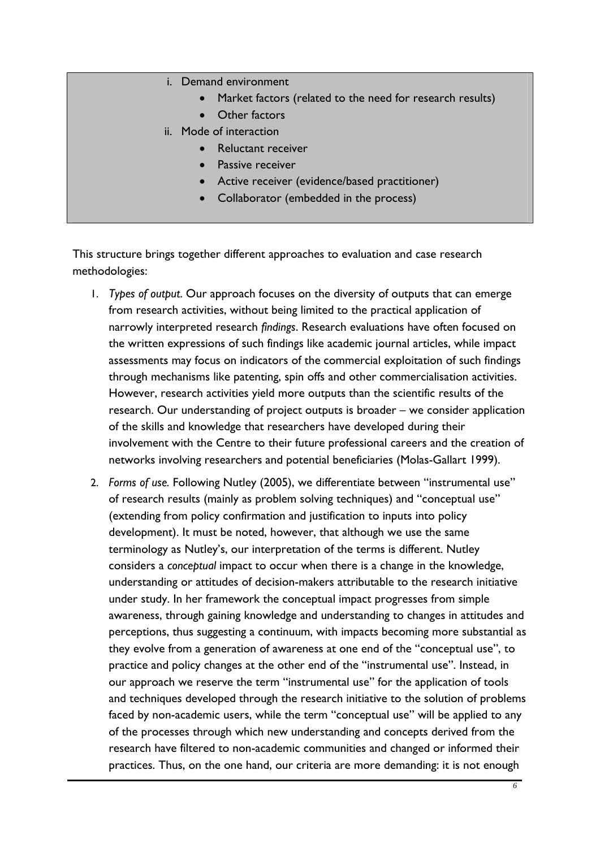- i. Demand environment
	- Market factors (related to the need for research results)
	- **Other factors**
- ii. Mode of interaction
	- Reluctant receiver
	- Passive receiver
	- Active receiver (evidence/based practitioner)
	- Collaborator (embedded in the process)

This structure brings together different approaches to evaluation and case research methodologies:

- 1. *Types of output*. Our approach focuses on the diversity of outputs that can emerge from research activities, without being limited to the practical application of narrowly interpreted research *findings*. Research evaluations have often focused on the written expressions of such findings like academic journal articles, while impact assessments may focus on indicators of the commercial exploitation of such findings through mechanisms like patenting, spin offs and other commercialisation activities. However, research activities yield more outputs than the scientific results of the research. Our understanding of project outputs is broader – we consider application of the skills and knowledge that researchers have developed during their involvement with the Centre to their future professional careers and the creation of networks involving researchers and potential beneficiaries (Molas-Gallart 1999).
- 2. *Forms of use.* Following Nutley (2005), we differentiate between "instrumental use" of research results (mainly as problem solving techniques) and "conceptual use" (extending from policy confirmation and justification to inputs into policy development). It must be noted, however, that although we use the same terminology as Nutley's, our interpretation of the terms is different. Nutley considers a *conceptual* impact to occur when there is a change in the knowledge, understanding or attitudes of decision-makers attributable to the research initiative under study. In her framework the conceptual impact progresses from simple awareness, through gaining knowledge and understanding to changes in attitudes and perceptions, thus suggesting a continuum, with impacts becoming more substantial as they evolve from a generation of awareness at one end of the "conceptual use", to practice and policy changes at the other end of the "instrumental use". Instead, in our approach we reserve the term "instrumental use" for the application of tools and techniques developed through the research initiative to the solution of problems faced by non-academic users, while the term "conceptual use" will be applied to any of the processes through which new understanding and concepts derived from the research have filtered to non-academic communities and changed or informed their practices. Thus, on the one hand, our criteria are more demanding: it is not enough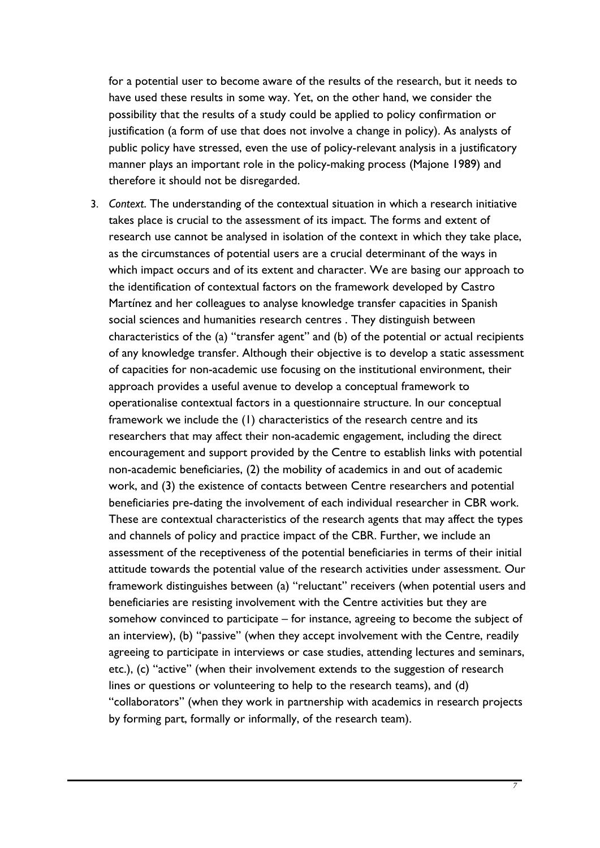for a potential user to become aware of the results of the research, but it needs to have used these results in some way. Yet, on the other hand, we consider the possibility that the results of a study could be applied to policy confirmation or justification (a form of use that does not involve a change in policy). As analysts of public policy have stressed, even the use of policy-relevant analysis in a justificatory manner plays an important role in the policy-making process (Majone 1989) and therefore it should not be disregarded.

3. *Context*. The understanding of the contextual situation in which a research initiative takes place is crucial to the assessment of its impact. The forms and extent of research use cannot be analysed in isolation of the context in which they take place, as the circumstances of potential users are a crucial determinant of the ways in which impact occurs and of its extent and character. We are basing our approach to the identification of contextual factors on the framework developed by Castro Martínez and her colleagues to analyse knowledge transfer capacities in Spanish social sciences and humanities research centres . They distinguish between characteristics of the (a) "transfer agent" and (b) of the potential or actual recipients of any knowledge transfer. Although their objective is to develop a static assessment of capacities for non-academic use focusing on the institutional environment, their approach provides a useful avenue to develop a conceptual framework to operationalise contextual factors in a questionnaire structure. In our conceptual framework we include the (1) characteristics of the research centre and its researchers that may affect their non-academic engagement, including the direct encouragement and support provided by the Centre to establish links with potential non-academic beneficiaries, (2) the mobility of academics in and out of academic work, and (3) the existence of contacts between Centre researchers and potential beneficiaries pre-dating the involvement of each individual researcher in CBR work. These are contextual characteristics of the research agents that may affect the types and channels of policy and practice impact of the CBR. Further, we include an assessment of the receptiveness of the potential beneficiaries in terms of their initial attitude towards the potential value of the research activities under assessment. Our framework distinguishes between (a) "reluctant" receivers (when potential users and beneficiaries are resisting involvement with the Centre activities but they are somehow convinced to participate – for instance, agreeing to become the subject of an interview), (b) "passive" (when they accept involvement with the Centre, readily agreeing to participate in interviews or case studies, attending lectures and seminars, etc.), (c) "active" (when their involvement extends to the suggestion of research lines or questions or volunteering to help to the research teams), and (d) "collaborators" (when they work in partnership with academics in research projects by forming part, formally or informally, of the research team).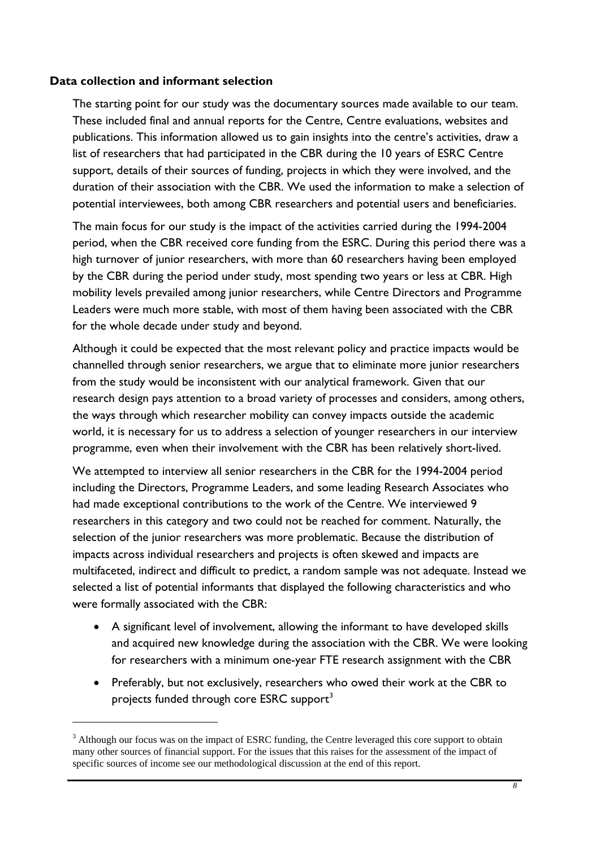#### <span id="page-19-0"></span>**Data collection and informant selection**

1

The starting point for our study was the documentary sources made available to our team. These included final and annual reports for the Centre, Centre evaluations, websites and publications. This information allowed us to gain insights into the centre's activities, draw a list of researchers that had participated in the CBR during the 10 years of ESRC Centre support, details of their sources of funding, projects in which they were involved, and the duration of their association with the CBR. We used the information to make a selection of potential interviewees, both among CBR researchers and potential users and beneficiaries.

The main focus for our study is the impact of the activities carried during the 1994-2004 period, when the CBR received core funding from the ESRC. During this period there was a high turnover of junior researchers, with more than 60 researchers having been employed by the CBR during the period under study, most spending two years or less at CBR. High mobility levels prevailed among junior researchers, while Centre Directors and Programme Leaders were much more stable, with most of them having been associated with the CBR for the whole decade under study and beyond.

Although it could be expected that the most relevant policy and practice impacts would be channelled through senior researchers, we argue that to eliminate more junior researchers from the study would be inconsistent with our analytical framework. Given that our research design pays attention to a broad variety of processes and considers, among others, the ways through which researcher mobility can convey impacts outside the academic world, it is necessary for us to address a selection of younger researchers in our interview programme, even when their involvement with the CBR has been relatively short-lived.

We attempted to interview all senior researchers in the CBR for the 1994-2004 period including the Directors, Programme Leaders, and some leading Research Associates who had made exceptional contributions to the work of the Centre. We interviewed 9 researchers in this category and two could not be reached for comment. Naturally, the selection of the junior researchers was more problematic. Because the distribution of impacts across individual researchers and projects is often skewed and impacts are multifaceted, indirect and difficult to predict, a random sample was not adequate. Instead we selected a list of potential informants that displayed the following characteristics and who were formally associated with the CBR:

- A significant level of involvement, allowing the informant to have developed skills and acquired new knowledge during the association with the CBR. We were looking for researchers with a minimum one-year FTE research assignment with the CBR
- Preferably, but not exclusively, researchers who owed their work at the CBR to projects funded through core ESRC support<sup>[3](#page-19-0)</sup>

 $3$  Although our focus was on the impact of ESRC funding, the Centre leveraged this core support to obtain many other sources of financial support. For the issues that this raises for the assessment of the impact of specific sources of income see our methodological discussion at the end of this report.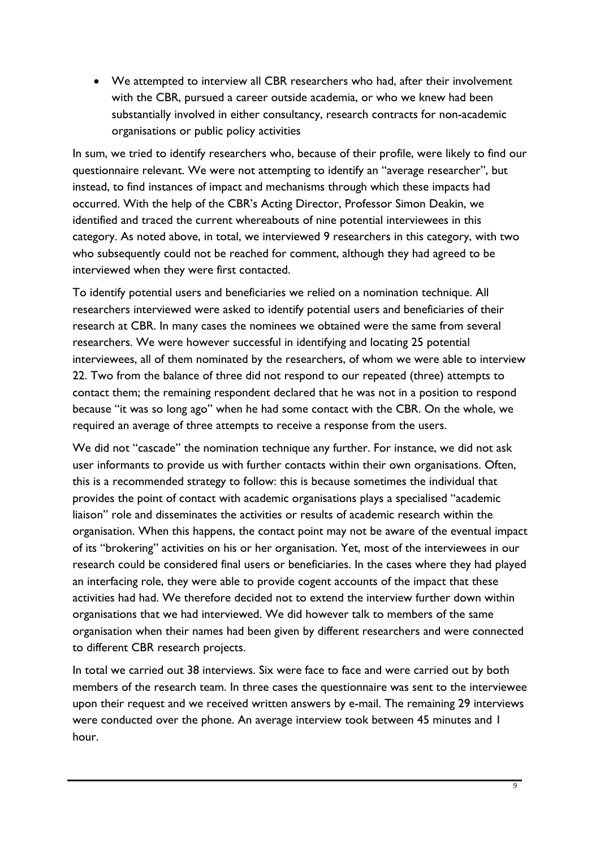• We attempted to interview all CBR researchers who had, after their involvement with the CBR, pursued a career outside academia, or who we knew had been substantially involved in either consultancy, research contracts for non-academic organisations or public policy activities

In sum, we tried to identify researchers who, because of their profile, were likely to find our questionnaire relevant. We were not attempting to identify an "average researcher", but instead, to find instances of impact and mechanisms through which these impacts had occurred. With the help of the CBR's Acting Director, Professor Simon Deakin, we identified and traced the current whereabouts of nine potential interviewees in this category. As noted above, in total, we interviewed 9 researchers in this category, with two who subsequently could not be reached for comment, although they had agreed to be interviewed when they were first contacted.

To identify potential users and beneficiaries we relied on a nomination technique. All researchers interviewed were asked to identify potential users and beneficiaries of their research at CBR. In many cases the nominees we obtained were the same from several researchers. We were however successful in identifying and locating 25 potential interviewees, all of them nominated by the researchers, of whom we were able to interview 22. Two from the balance of three did not respond to our repeated (three) attempts to contact them; the remaining respondent declared that he was not in a position to respond because "it was so long ago" when he had some contact with the CBR. On the whole, we required an average of three attempts to receive a response from the users.

We did not "cascade" the nomination technique any further. For instance, we did not ask user informants to provide us with further contacts within their own organisations. Often, this is a recommended strategy to follow: this is because sometimes the individual that provides the point of contact with academic organisations plays a specialised "academic liaison" role and disseminates the activities or results of academic research within the organisation. When this happens, the contact point may not be aware of the eventual impact of its "brokering" activities on his or her organisation. Yet, most of the interviewees in our research could be considered final users or beneficiaries. In the cases where they had played an interfacing role, they were able to provide cogent accounts of the impact that these activities had had. We therefore decided not to extend the interview further down within organisations that we had interviewed. We did however talk to members of the same organisation when their names had been given by different researchers and were connected to different CBR research projects.

In total we carried out 38 interviews. Six were face to face and were carried out by both members of the research team. In three cases the questionnaire was sent to the interviewee upon their request and we received written answers by e-mail. The remaining 29 interviews were conducted over the phone. An average interview took between 45 minutes and 1 hour.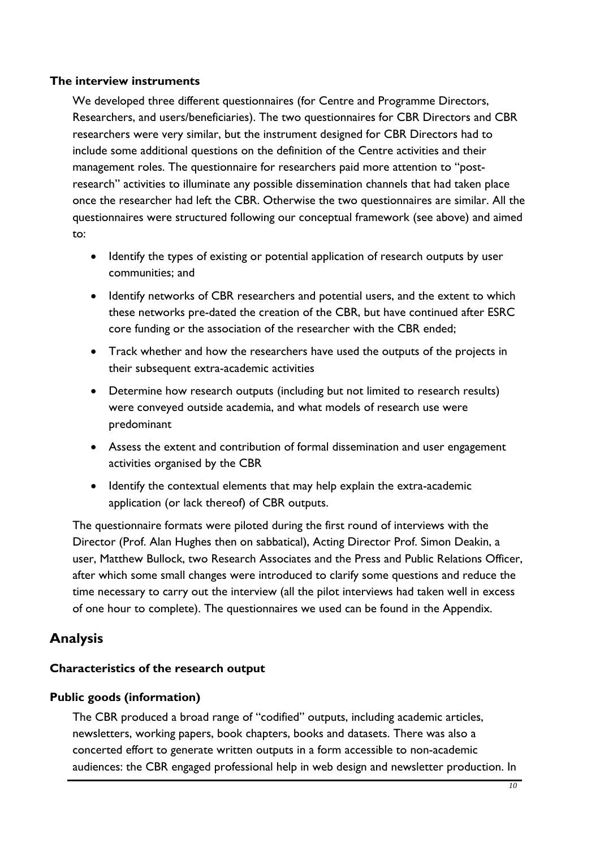# <span id="page-21-0"></span>**The interview instruments**

We developed three different questionnaires (for Centre and Programme Directors, Researchers, and users/beneficiaries). The two questionnaires for CBR Directors and CBR researchers were very similar, but the instrument designed for CBR Directors had to include some additional questions on the definition of the Centre activities and their management roles. The questionnaire for researchers paid more attention to "postresearch" activities to illuminate any possible dissemination channels that had taken place once the researcher had left the CBR. Otherwise the two questionnaires are similar. All the questionnaires were structured following our conceptual framework (see above) and aimed to:

- Identify the types of existing or potential application of research outputs by user communities; and
- Identify networks of CBR researchers and potential users, and the extent to which these networks pre-dated the creation of the CBR, but have continued after ESRC core funding or the association of the researcher with the CBR ended;
- Track whether and how the researchers have used the outputs of the projects in their subsequent extra-academic activities
- Determine how research outputs (including but not limited to research results) were conveyed outside academia, and what models of research use were predominant
- Assess the extent and contribution of formal dissemination and user engagement activities organised by the CBR
- Identify the contextual elements that may help explain the extra-academic application (or lack thereof) of CBR outputs.

The questionnaire formats were piloted during the first round of interviews with the Director (Prof. Alan Hughes then on sabbatical), Acting Director Prof. Simon Deakin, a user, Matthew Bullock, two Research Associates and the Press and Public Relations Officer, after which some small changes were introduced to clarify some questions and reduce the time necessary to carry out the interview (all the pilot interviews had taken well in excess of one hour to complete). The questionnaires we used can be found in the Appendix.

# **Analysis**

# **Characteristics of the research output**

# **Public goods (information)**

The CBR produced a broad range of "codified" outputs, including academic articles, newsletters, working papers, book chapters, books and datasets. There was also a concerted effort to generate written outputs in a form accessible to non-academic audiences: the CBR engaged professional help in web design and newsletter production. In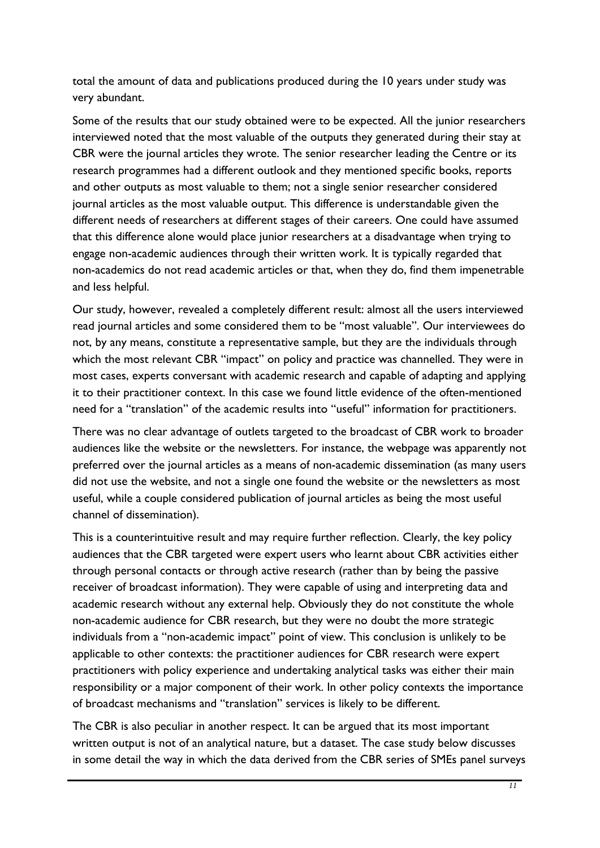total the amount of data and publications produced during the 10 years under study was very abundant.

Some of the results that our study obtained were to be expected. All the junior researchers interviewed noted that the most valuable of the outputs they generated during their stay at CBR were the journal articles they wrote. The senior researcher leading the Centre or its research programmes had a different outlook and they mentioned specific books, reports and other outputs as most valuable to them; not a single senior researcher considered journal articles as the most valuable output. This difference is understandable given the different needs of researchers at different stages of their careers. One could have assumed that this difference alone would place junior researchers at a disadvantage when trying to engage non-academic audiences through their written work. It is typically regarded that non-academics do not read academic articles or that, when they do, find them impenetrable and less helpful.

Our study, however, revealed a completely different result: almost all the users interviewed read journal articles and some considered them to be "most valuable". Our interviewees do not, by any means, constitute a representative sample, but they are the individuals through which the most relevant CBR "impact" on policy and practice was channelled. They were in most cases, experts conversant with academic research and capable of adapting and applying it to their practitioner context. In this case we found little evidence of the often-mentioned need for a "translation" of the academic results into "useful" information for practitioners.

There was no clear advantage of outlets targeted to the broadcast of CBR work to broader audiences like the website or the newsletters. For instance, the webpage was apparently not preferred over the journal articles as a means of non-academic dissemination (as many users did not use the website, and not a single one found the website or the newsletters as most useful, while a couple considered publication of journal articles as being the most useful channel of dissemination).

This is a counterintuitive result and may require further reflection. Clearly, the key policy audiences that the CBR targeted were expert users who learnt about CBR activities either through personal contacts or through active research (rather than by being the passive receiver of broadcast information). They were capable of using and interpreting data and academic research without any external help. Obviously they do not constitute the whole non-academic audience for CBR research, but they were no doubt the more strategic individuals from a "non-academic impact" point of view. This conclusion is unlikely to be applicable to other contexts: the practitioner audiences for CBR research were expert practitioners with policy experience and undertaking analytical tasks was either their main responsibility or a major component of their work. In other policy contexts the importance of broadcast mechanisms and "translation" services is likely to be different.

The CBR is also peculiar in another respect. It can be argued that its most important written output is not of an analytical nature, but a dataset. The case study below discusses in some detail the way in which the data derived from the CBR series of SMEs panel surveys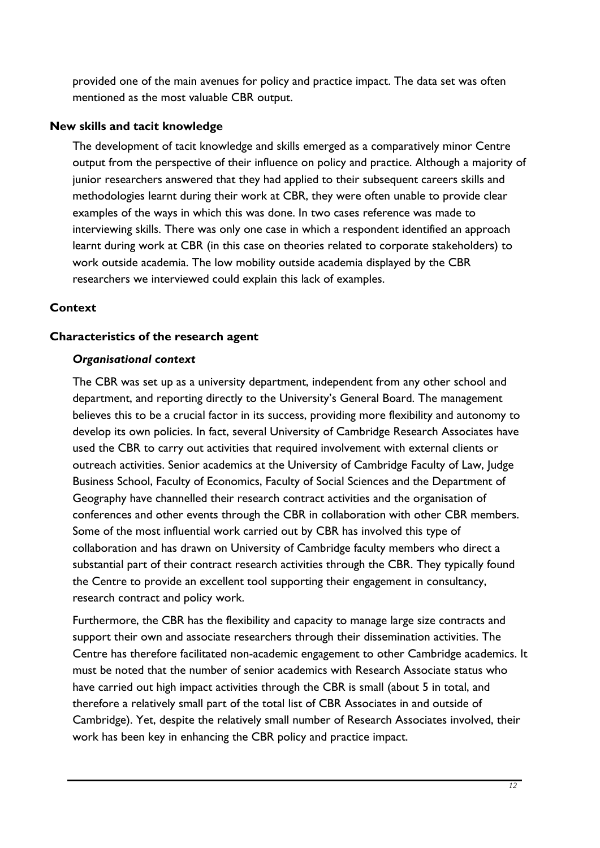<span id="page-23-0"></span>provided one of the main avenues for policy and practice impact. The data set was often mentioned as the most valuable CBR output.

#### **New skills and tacit knowledge**

The development of tacit knowledge and skills emerged as a comparatively minor Centre output from the perspective of their influence on policy and practice. Although a majority of junior researchers answered that they had applied to their subsequent careers skills and methodologies learnt during their work at CBR, they were often unable to provide clear examples of the ways in which this was done. In two cases reference was made to interviewing skills. There was only one case in which a respondent identified an approach learnt during work at CBR (in this case on theories related to corporate stakeholders) to work outside academia. The low mobility outside academia displayed by the CBR researchers we interviewed could explain this lack of examples.

# **Context**

# **Characteristics of the research agent**

#### *Organisational context*

The CBR was set up as a university department, independent from any other school and department, and reporting directly to the University's General Board. The management believes this to be a crucial factor in its success, providing more flexibility and autonomy to develop its own policies. In fact, several University of Cambridge Research Associates have used the CBR to carry out activities that required involvement with external clients or outreach activities. Senior academics at the University of Cambridge Faculty of Law, Judge Business School, Faculty of Economics, Faculty of Social Sciences and the Department of Geography have channelled their research contract activities and the organisation of conferences and other events through the CBR in collaboration with other CBR members. Some of the most influential work carried out by CBR has involved this type of collaboration and has drawn on University of Cambridge faculty members who direct a substantial part of their contract research activities through the CBR. They typically found the Centre to provide an excellent tool supporting their engagement in consultancy, research contract and policy work.

Furthermore, the CBR has the flexibility and capacity to manage large size contracts and support their own and associate researchers through their dissemination activities. The Centre has therefore facilitated non-academic engagement to other Cambridge academics. It must be noted that the number of senior academics with Research Associate status who have carried out high impact activities through the CBR is small (about 5 in total, and therefore a relatively small part of the total list of CBR Associates in and outside of Cambridge). Yet, despite the relatively small number of Research Associates involved, their work has been key in enhancing the CBR policy and practice impact.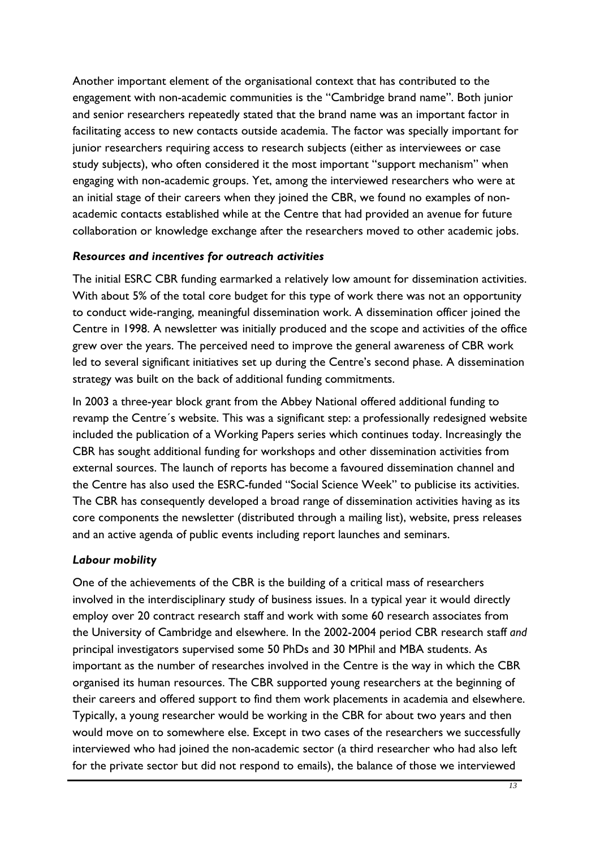Another important element of the organisational context that has contributed to the engagement with non-academic communities is the "Cambridge brand name". Both junior and senior researchers repeatedly stated that the brand name was an important factor in facilitating access to new contacts outside academia. The factor was specially important for junior researchers requiring access to research subjects (either as interviewees or case study subjects), who often considered it the most important "support mechanism" when engaging with non-academic groups. Yet, among the interviewed researchers who were at an initial stage of their careers when they joined the CBR, we found no examples of nonacademic contacts established while at the Centre that had provided an avenue for future collaboration or knowledge exchange after the researchers moved to other academic jobs.

# *Resources and incentives for outreach activities*

The initial ESRC CBR funding earmarked a relatively low amount for dissemination activities. With about 5% of the total core budget for this type of work there was not an opportunity to conduct wide-ranging, meaningful dissemination work. A dissemination officer joined the Centre in 1998. A newsletter was initially produced and the scope and activities of the office grew over the years. The perceived need to improve the general awareness of CBR work led to several significant initiatives set up during the Centre's second phase. A dissemination strategy was built on the back of additional funding commitments.

In 2003 a three-year block grant from the Abbey National offered additional funding to revamp the Centre´s website. This was a significant step: a professionally redesigned website included the publication of a Working Papers series which continues today. Increasingly the CBR has sought additional funding for workshops and other dissemination activities from external sources. The launch of reports has become a favoured dissemination channel and the Centre has also used the ESRC-funded "Social Science Week" to publicise its activities. The CBR has consequently developed a broad range of dissemination activities having as its core components the newsletter (distributed through a mailing list), website, press releases and an active agenda of public events including report launches and seminars.

#### *Labour mobility*

One of the achievements of the CBR is the building of a critical mass of researchers involved in the interdisciplinary study of business issues. In a typical year it would directly employ over 20 contract research staff and work with some 60 research associates from the University of Cambridge and elsewhere. In the 2002-2004 period CBR research staff *and* principal investigators supervised some 50 PhDs and 30 MPhil and MBA students. As important as the number of researches involved in the Centre is the way in which the CBR organised its human resources. The CBR supported young researchers at the beginning of their careers and offered support to find them work placements in academia and elsewhere. Typically, a young researcher would be working in the CBR for about two years and then would move on to somewhere else. Except in two cases of the researchers we successfully interviewed who had joined the non-academic sector (a third researcher who had also left for the private sector but did not respond to emails), the balance of those we interviewed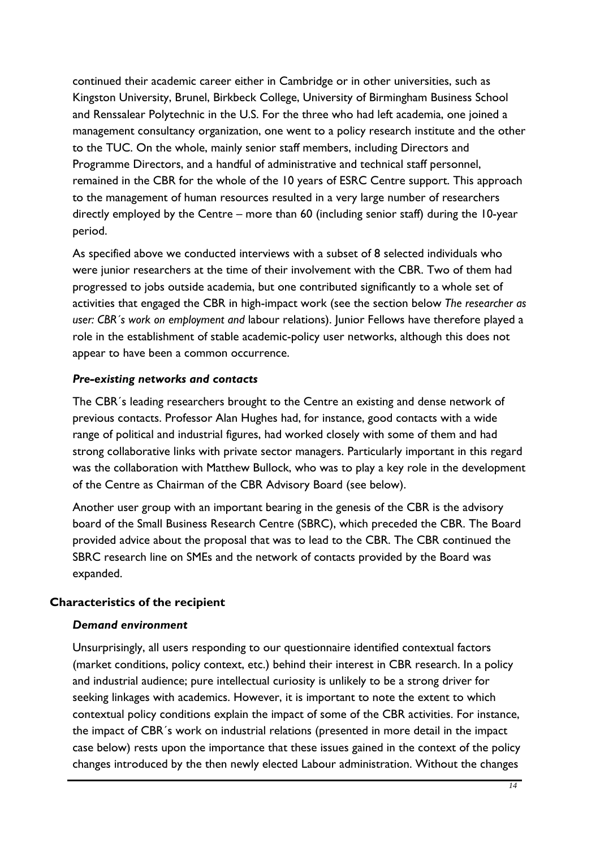continued their academic career either in Cambridge or in other universities, such as Kingston University, Brunel, Birkbeck College, University of Birmingham Business School and Renssalear Polytechnic in the U.S. For the three who had left academia, one joined a management consultancy organization, one went to a policy research institute and the other to the TUC. On the whole, mainly senior staff members, including Directors and Programme Directors, and a handful of administrative and technical staff personnel, remained in the CBR for the whole of the 10 years of ESRC Centre support. This approach to the management of human resources resulted in a very large number of researchers directly employed by the Centre – more than 60 (including senior staff) during the 10-year period.

As specified above we conducted interviews with a subset of 8 selected individuals who were junior researchers at the time of their involvement with the CBR. Two of them had progressed to jobs outside academia, but one contributed significantly to a whole set of activities that engaged the CBR in high-impact work (see the section below *[The researcher as](#page-30-1)  [user: CBR´s work on employment and](#page-30-1)* labour relations). Junior Fellows have therefore played a role in the establishment of stable academic-policy user networks, although this does not appear to have been a common occurrence.

#### *Pre-existing networks and contacts*

The CBR´s leading researchers brought to the Centre an existing and dense network of previous contacts. Professor Alan Hughes had, for instance, good contacts with a wide range of political and industrial figures, had worked closely with some of them and had strong collaborative links with private sector managers. Particularly important in this regard was the collaboration with Matthew Bullock, who was to play a key role in the development of the Centre as Chairman of the CBR Advisory Board (see below).

Another user group with an important bearing in the genesis of the CBR is the advisory board of the Small Business Research Centre (SBRC), which preceded the CBR. The Board provided advice about the proposal that was to lead to the CBR. The CBR continued the SBRC research line on SMEs and the network of contacts provided by the Board was expanded.

#### **Characteristics of the recipient**

#### *Demand environment*

Unsurprisingly, all users responding to our questionnaire identified contextual factors (market conditions, policy context, etc.) behind their interest in CBR research. In a policy and industrial audience; pure intellectual curiosity is unlikely to be a strong driver for seeking linkages with academics. However, it is important to note the extent to which contextual policy conditions explain the impact of some of the CBR activities. For instance, the impact of CBR´s work on industrial relations (presented in more detail in the impact case below) rests upon the importance that these issues gained in the context of the policy changes introduced by the then newly elected Labour administration. Without the changes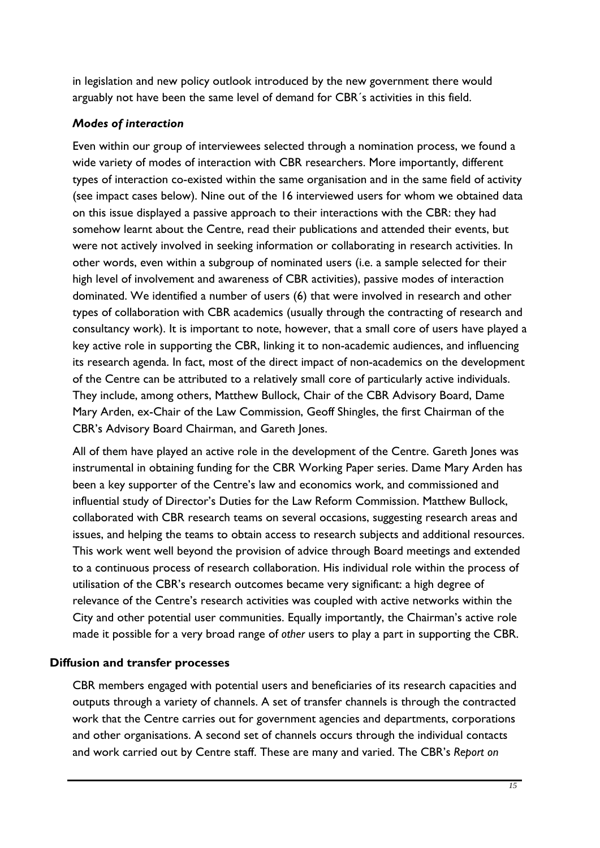<span id="page-26-0"></span>in legislation and new policy outlook introduced by the new government there would arguably not have been the same level of demand for CBR´s activities in this field.

# *Modes of interaction*

Even within our group of interviewees selected through a nomination process, we found a wide variety of modes of interaction with CBR researchers. More importantly, different types of interaction co-existed within the same organisation and in the same field of activity (see impact cases below). Nine out of the 16 interviewed users for whom we obtained data on this issue displayed a passive approach to their interactions with the CBR: they had somehow learnt about the Centre, read their publications and attended their events, but were not actively involved in seeking information or collaborating in research activities. In other words, even within a subgroup of nominated users (i.e. a sample selected for their high level of involvement and awareness of CBR activities), passive modes of interaction dominated. We identified a number of users (6) that were involved in research and other types of collaboration with CBR academics (usually through the contracting of research and consultancy work). It is important to note, however, that a small core of users have played a key active role in supporting the CBR, linking it to non-academic audiences, and influencing its research agenda. In fact, most of the direct impact of non-academics on the development of the Centre can be attributed to a relatively small core of particularly active individuals. They include, among others, Matthew Bullock, Chair of the CBR Advisory Board, Dame Mary Arden, ex-Chair of the Law Commission, Geoff Shingles, the first Chairman of the CBR's Advisory Board Chairman, and Gareth Jones.

All of them have played an active role in the development of the Centre. Gareth Jones was instrumental in obtaining funding for the CBR Working Paper series. Dame Mary Arden has been a key supporter of the Centre's law and economics work, and commissioned and influential study of Director's Duties for the Law Reform Commission. Matthew Bullock, collaborated with CBR research teams on several occasions, suggesting research areas and issues, and helping the teams to obtain access to research subjects and additional resources. This work went well beyond the provision of advice through Board meetings and extended to a continuous process of research collaboration. His individual role within the process of utilisation of the CBR's research outcomes became very significant: a high degree of relevance of the Centre's research activities was coupled with active networks within the City and other potential user communities. Equally importantly, the Chairman's active role made it possible for a very broad range of *other* users to play a part in supporting the CBR.

# **Diffusion and transfer processes**

CBR members engaged with potential users and beneficiaries of its research capacities and outputs through a variety of channels. A set of transfer channels is through the contracted work that the Centre carries out for government agencies and departments, corporations and other organisations. A second set of channels occurs through the individual contacts and work carried out by Centre staff. These are many and varied. The CBR's *Report on*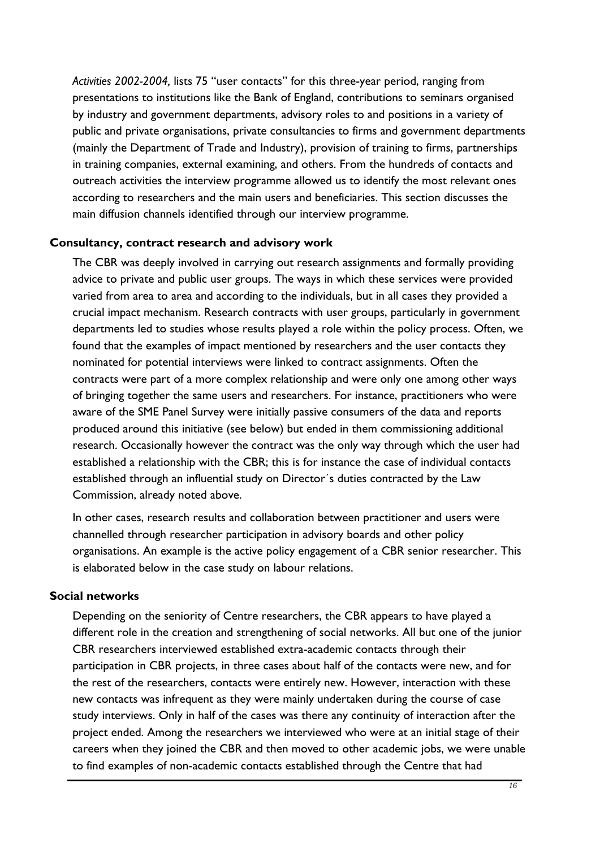*Activities 2002-2004,* lists 75 "user contacts" for this three-year period, ranging from presentations to institutions like the Bank of England, contributions to seminars organised by industry and government departments, advisory roles to and positions in a variety of public and private organisations, private consultancies to firms and government departments (mainly the Department of Trade and Industry), provision of training to firms, partnerships in training companies, external examining, and others. From the hundreds of contacts and outreach activities the interview programme allowed us to identify the most relevant ones according to researchers and the main users and beneficiaries. This section discusses the main diffusion channels identified through our interview programme.

#### **Consultancy, contract research and advisory work**

The CBR was deeply involved in carrying out research assignments and formally providing advice to private and public user groups. The ways in which these services were provided varied from area to area and according to the individuals, but in all cases they provided a crucial impact mechanism. Research contracts with user groups, particularly in government departments led to studies whose results played a role within the policy process. Often, we found that the examples of impact mentioned by researchers and the user contacts they nominated for potential interviews were linked to contract assignments. Often the contracts were part of a more complex relationship and were only one among other ways of bringing together the same users and researchers. For instance, practitioners who were aware of the SME Panel Survey were initially passive consumers of the data and reports produced around this initiative (see below) but ended in them commissioning additional research. Occasionally however the contract was the only way through which the user had established a relationship with the CBR; this is for instance the case of individual contacts established through an influential study on Director´s duties contracted by the Law Commission, already noted above.

In other cases, research results and collaboration between practitioner and users were channelled through researcher participation in advisory boards and other policy organisations. An example is the active policy engagement of a CBR senior researcher. This is elaborated below in the case study on labour relations.

#### **Social networks**

Depending on the seniority of Centre researchers, the CBR appears to have played a different role in the creation and strengthening of social networks. All but one of the junior CBR researchers interviewed established extra-academic contacts through their participation in CBR projects, in three cases about half of the contacts were new, and for the rest of the researchers, contacts were entirely new. However, interaction with these new contacts was infrequent as they were mainly undertaken during the course of case study interviews. Only in half of the cases was there any continuity of interaction after the project ended. Among the researchers we interviewed who were at an initial stage of their careers when they joined the CBR and then moved to other academic jobs, we were unable to find examples of non-academic contacts established through the Centre that had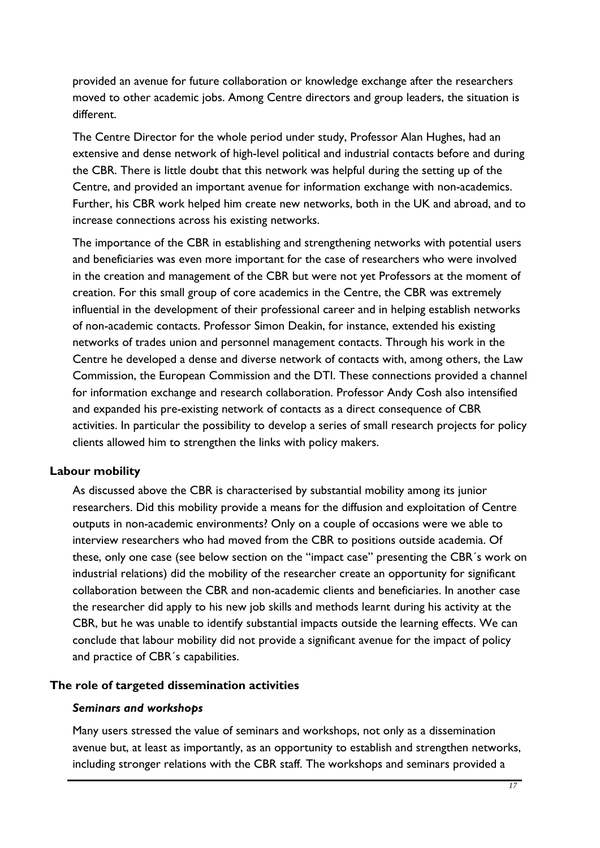provided an avenue for future collaboration or knowledge exchange after the researchers moved to other academic jobs. Among Centre directors and group leaders, the situation is different.

The Centre Director for the whole period under study, Professor Alan Hughes, had an extensive and dense network of high-level political and industrial contacts before and during the CBR. There is little doubt that this network was helpful during the setting up of the Centre, and provided an important avenue for information exchange with non-academics. Further, his CBR work helped him create new networks, both in the UK and abroad, and to increase connections across his existing networks.

The importance of the CBR in establishing and strengthening networks with potential users and beneficiaries was even more important for the case of researchers who were involved in the creation and management of the CBR but were not yet Professors at the moment of creation. For this small group of core academics in the Centre, the CBR was extremely influential in the development of their professional career and in helping establish networks of non-academic contacts. Professor Simon Deakin, for instance, extended his existing networks of trades union and personnel management contacts. Through his work in the Centre he developed a dense and diverse network of contacts with, among others, the Law Commission, the European Commission and the DTI. These connections provided a channel for information exchange and research collaboration. Professor Andy Cosh also intensified and expanded his pre-existing network of contacts as a direct consequence of CBR activities. In particular the possibility to develop a series of small research projects for policy clients allowed him to strengthen the links with policy makers.

#### **Labour mobility**

As discussed above the CBR is characterised by substantial mobility among its junior researchers. Did this mobility provide a means for the diffusion and exploitation of Centre outputs in non-academic environments? Only on a couple of occasions were we able to interview researchers who had moved from the CBR to positions outside academia. Of these, only one case (see below section on the "impact case" presenting the CBR´s work on industrial relations) did the mobility of the researcher create an opportunity for significant collaboration between the CBR and non-academic clients and beneficiaries. In another case the researcher did apply to his new job skills and methods learnt during his activity at the CBR, but he was unable to identify substantial impacts outside the learning effects. We can conclude that labour mobility did not provide a significant avenue for the impact of policy and practice of CBR´s capabilities.

# **The role of targeted dissemination activities**

#### *Seminars and workshops*

Many users stressed the value of seminars and workshops, not only as a dissemination avenue but, at least as importantly, as an opportunity to establish and strengthen networks, including stronger relations with the CBR staff. The workshops and seminars provided a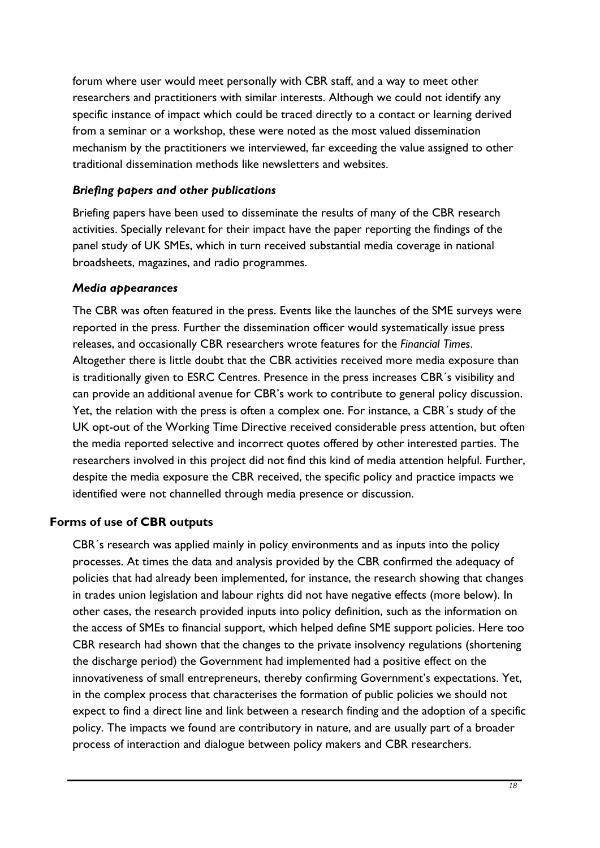<span id="page-29-0"></span>forum where user would meet personally with CBR staff, and a way to meet other researchers and practitioners with similar interests. Although we could not identify any specific instance of impact which could be traced directly to a contact or learning derived from a seminar or a workshop, these were noted as the most valued dissemination mechanism by the practitioners we interviewed, far exceeding the value assigned to other traditional dissemination methods like newsletters and websites.

# *Briefing papers and other publications*

Briefing papers have been used to disseminate the results of many of the CBR research activities. Specially relevant for their impact have the paper reporting the findings of the panel study of UK SMEs, which in turn received substantial media coverage in national broadsheets, magazines, and radio programmes.

# *Media appearances*

The CBR was often featured in the press. Events like the launches of the SME surveys were reported in the press. Further the dissemination officer would systematically issue press releases, and occasionally CBR researchers wrote features for the *Financial Times*. Altogether there is little doubt that the CBR activities received more media exposure than is traditionally given to ESRC Centres. Presence in the press increases CBR´s visibility and can provide an additional avenue for CBR's work to contribute to general policy discussion. Yet, the relation with the press is often a complex one. For instance, a CBR´s study of the UK opt-out of the Working Time Directive received considerable press attention, but often the media reported selective and incorrect quotes offered by other interested parties. The researchers involved in this project did not find this kind of media attention helpful. Further, despite the media exposure the CBR received, the specific policy and practice impacts we identified were not channelled through media presence or discussion.

# **Forms of use of CBR outputs**

CBR´s research was applied mainly in policy environments and as inputs into the policy processes. At times the data and analysis provided by the CBR confirmed the adequacy of policies that had already been implemented, for instance, the research showing that changes in trades union legislation and labour rights did not have negative effects (more below). In other cases, the research provided inputs into policy definition, such as the information on the access of SMEs to financial support, which helped define SME support policies. Here too CBR research had shown that the changes to the private insolvency regulations (shortening the discharge period) the Government had implemented had a positive effect on the innovativeness of small entrepreneurs, thereby confirming Government's expectations. Yet, in the complex process that characterises the formation of public policies we should not expect to find a direct line and link between a research finding and the adoption of a specific policy. The impacts we found are contributory in nature, and are usually part of a broader process of interaction and dialogue between policy makers and CBR researchers.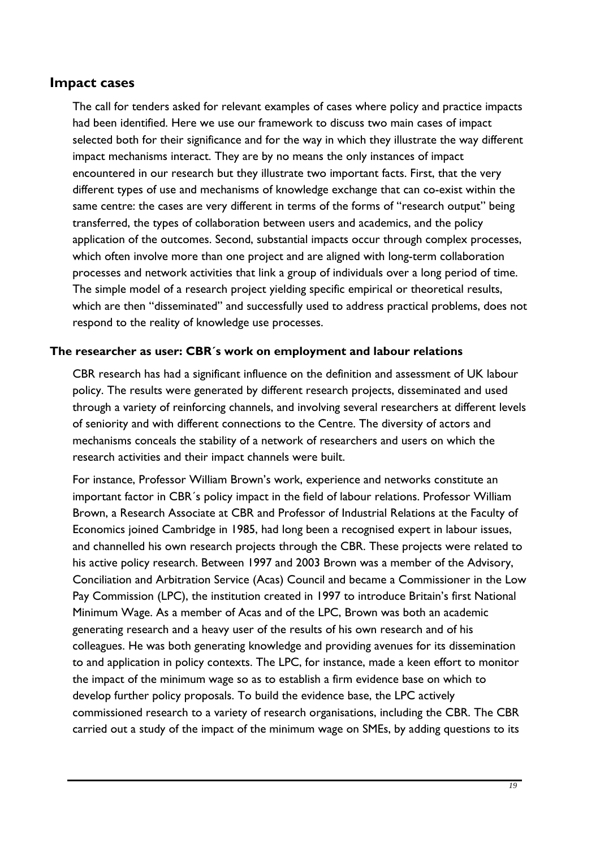# <span id="page-30-0"></span>**Impact cases**

The call for tenders asked for relevant examples of cases where policy and practice impacts had been identified. Here we use our framework to discuss two main cases of impact selected both for their significance and for the way in which they illustrate the way different impact mechanisms interact. They are by no means the only instances of impact encountered in our research but they illustrate two important facts. First, that the very different types of use and mechanisms of knowledge exchange that can co-exist within the same centre: the cases are very different in terms of the forms of "research output" being transferred, the types of collaboration between users and academics, and the policy application of the outcomes. Second, substantial impacts occur through complex processes, which often involve more than one project and are aligned with long-term collaboration processes and network activities that link a group of individuals over a long period of time. The simple model of a research project yielding specific empirical or theoretical results, which are then "disseminated" and successfully used to address practical problems, does not respond to the reality of knowledge use processes.

# <span id="page-30-1"></span>**The researcher as user: CBR´s work on employment and labour relations**

CBR research has had a significant influence on the definition and assessment of UK labour policy. The results were generated by different research projects, disseminated and used through a variety of reinforcing channels, and involving several researchers at different levels of seniority and with different connections to the Centre. The diversity of actors and mechanisms conceals the stability of a network of researchers and users on which the research activities and their impact channels were built.

For instance, Professor William Brown's work, experience and networks constitute an important factor in CBR´s policy impact in the field of labour relations. Professor William Brown, a Research Associate at CBR and Professor of Industrial Relations at the Faculty of Economics joined Cambridge in 1985, had long been a recognised expert in labour issues, and channelled his own research projects through the CBR. These projects were related to his active policy research. Between 1997 and 2003 Brown was a member of the Advisory, Conciliation and Arbitration Service (Acas) Council and became a Commissioner in the Low Pay Commission (LPC), the institution created in 1997 to introduce Britain's first National Minimum Wage. As a member of Acas and of the LPC, Brown was both an academic generating research and a heavy user of the results of his own research and of his colleagues. He was both generating knowledge and providing avenues for its dissemination to and application in policy contexts. The LPC, for instance, made a keen effort to monitor the impact of the minimum wage so as to establish a firm evidence base on which to develop further policy proposals. To build the evidence base, the LPC actively commissioned research to a variety of research organisations, including the CBR. The CBR carried out a study of the impact of the minimum wage on SMEs, by adding questions to its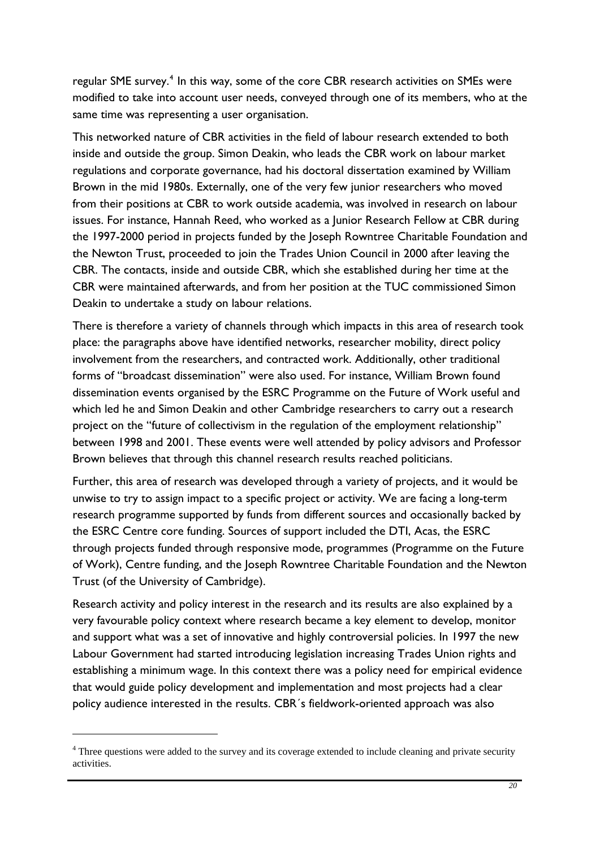<span id="page-31-0"></span>regular SME survey.<sup>[4](#page-31-0)</sup> In this way, some of the core CBR research activities on SMEs were modified to take into account user needs, conveyed through one of its members, who at the same time was representing a user organisation.

This networked nature of CBR activities in the field of labour research extended to both inside and outside the group. Simon Deakin, who leads the CBR work on labour market regulations and corporate governance, had his doctoral dissertation examined by William Brown in the mid 1980s. Externally, one of the very few junior researchers who moved from their positions at CBR to work outside academia, was involved in research on labour issues. For instance, Hannah Reed, who worked as a Junior Research Fellow at CBR during the 1997-2000 period in projects funded by the Joseph Rowntree Charitable Foundation and the Newton Trust, proceeded to join the Trades Union Council in 2000 after leaving the CBR. The contacts, inside and outside CBR, which she established during her time at the CBR were maintained afterwards, and from her position at the TUC commissioned Simon Deakin to undertake a study on labour relations.

There is therefore a variety of channels through which impacts in this area of research took place: the paragraphs above have identified networks, researcher mobility, direct policy involvement from the researchers, and contracted work. Additionally, other traditional forms of "broadcast dissemination" were also used. For instance, William Brown found dissemination events organised by the ESRC Programme on the Future of Work useful and which led he and Simon Deakin and other Cambridge researchers to carry out a research project on the "future of collectivism in the regulation of the employment relationship" between 1998 and 2001. These events were well attended by policy advisors and Professor Brown believes that through this channel research results reached politicians.

Further, this area of research was developed through a variety of projects, and it would be unwise to try to assign impact to a specific project or activity. We are facing a long-term research programme supported by funds from different sources and occasionally backed by the ESRC Centre core funding. Sources of support included the DTI, Acas, the ESRC through projects funded through responsive mode, programmes (Programme on the Future of Work), Centre funding, and the Joseph Rowntree Charitable Foundation and the Newton Trust (of the University of Cambridge).

Research activity and policy interest in the research and its results are also explained by a very favourable policy context where research became a key element to develop, monitor and support what was a set of innovative and highly controversial policies. In 1997 the new Labour Government had started introducing legislation increasing Trades Union rights and establishing a minimum wage. In this context there was a policy need for empirical evidence that would guide policy development and implementation and most projects had a clear policy audience interested in the results. CBR´s fieldwork-oriented approach was also

1

<sup>&</sup>lt;sup>4</sup> Three questions were added to the survey and its coverage extended to include cleaning and private security activities.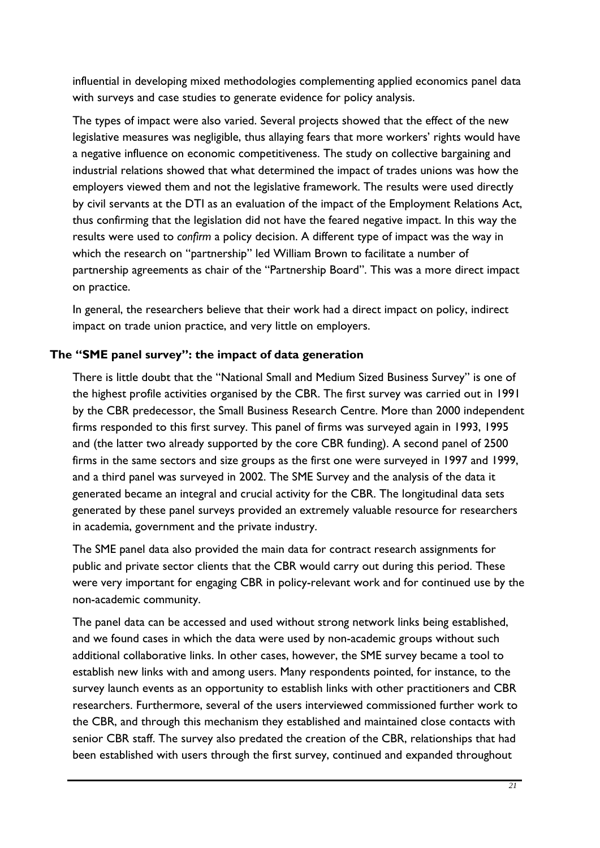<span id="page-32-0"></span>influential in developing mixed methodologies complementing applied economics panel data with surveys and case studies to generate evidence for policy analysis.

The types of impact were also varied. Several projects showed that the effect of the new legislative measures was negligible, thus allaying fears that more workers' rights would have a negative influence on economic competitiveness. The study on collective bargaining and industrial relations showed that what determined the impact of trades unions was how the employers viewed them and not the legislative framework. The results were used directly by civil servants at the DTI as an evaluation of the impact of the Employment Relations Act, thus confirming that the legislation did not have the feared negative impact. In this way the results were used to *confirm* a policy decision. A different type of impact was the way in which the research on "partnership" led William Brown to facilitate a number of partnership agreements as chair of the "Partnership Board". This was a more direct impact on practice.

In general, the researchers believe that their work had a direct impact on policy, indirect impact on trade union practice, and very little on employers.

# **The "SME panel survey": the impact of data generation**

There is little doubt that the "National Small and Medium Sized Business Survey" is one of the highest profile activities organised by the CBR. The first survey was carried out in 1991 by the CBR predecessor, the Small Business Research Centre. More than 2000 independent firms responded to this first survey. This panel of firms was surveyed again in 1993, 1995 and (the latter two already supported by the core CBR funding). A second panel of 2500 firms in the same sectors and size groups as the first one were surveyed in 1997 and 1999, and a third panel was surveyed in 2002. The SME Survey and the analysis of the data it generated became an integral and crucial activity for the CBR. The longitudinal data sets generated by these panel surveys provided an extremely valuable resource for researchers in academia, government and the private industry.

The SME panel data also provided the main data for contract research assignments for public and private sector clients that the CBR would carry out during this period. These were very important for engaging CBR in policy-relevant work and for continued use by the non-academic community.

The panel data can be accessed and used without strong network links being established, and we found cases in which the data were used by non-academic groups without such additional collaborative links. In other cases, however, the SME survey became a tool to establish new links with and among users. Many respondents pointed, for instance, to the survey launch events as an opportunity to establish links with other practitioners and CBR researchers. Furthermore, several of the users interviewed commissioned further work to the CBR, and through this mechanism they established and maintained close contacts with senior CBR staff. The survey also predated the creation of the CBR, relationships that had been established with users through the first survey, continued and expanded throughout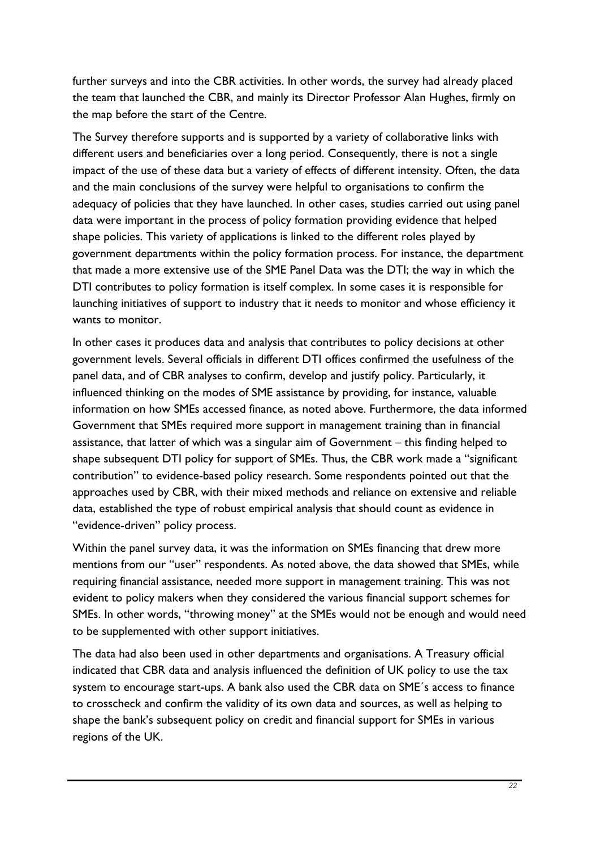further surveys and into the CBR activities. In other words, the survey had already placed the team that launched the CBR, and mainly its Director Professor Alan Hughes, firmly on the map before the start of the Centre.

The Survey therefore supports and is supported by a variety of collaborative links with different users and beneficiaries over a long period. Consequently, there is not a single impact of the use of these data but a variety of effects of different intensity. Often, the data and the main conclusions of the survey were helpful to organisations to confirm the adequacy of policies that they have launched. In other cases, studies carried out using panel data were important in the process of policy formation providing evidence that helped shape policies. This variety of applications is linked to the different roles played by government departments within the policy formation process. For instance, the department that made a more extensive use of the SME Panel Data was the DTI; the way in which the DTI contributes to policy formation is itself complex. In some cases it is responsible for launching initiatives of support to industry that it needs to monitor and whose efficiency it wants to monitor.

In other cases it produces data and analysis that contributes to policy decisions at other government levels. Several officials in different DTI offices confirmed the usefulness of the panel data, and of CBR analyses to confirm, develop and justify policy. Particularly, it influenced thinking on the modes of SME assistance by providing, for instance, valuable information on how SMEs accessed finance, as noted above. Furthermore, the data informed Government that SMEs required more support in management training than in financial assistance, that latter of which was a singular aim of Government – this finding helped to shape subsequent DTI policy for support of SMEs. Thus, the CBR work made a "significant contribution" to evidence-based policy research. Some respondents pointed out that the approaches used by CBR, with their mixed methods and reliance on extensive and reliable data, established the type of robust empirical analysis that should count as evidence in "evidence-driven" policy process.

Within the panel survey data, it was the information on SMEs financing that drew more mentions from our "user" respondents. As noted above, the data showed that SMEs, while requiring financial assistance, needed more support in management training. This was not evident to policy makers when they considered the various financial support schemes for SMEs. In other words, "throwing money" at the SMEs would not be enough and would need to be supplemented with other support initiatives.

The data had also been used in other departments and organisations. A Treasury official indicated that CBR data and analysis influenced the definition of UK policy to use the tax system to encourage start-ups. A bank also used the CBR data on SME´s access to finance to crosscheck and confirm the validity of its own data and sources, as well as helping to shape the bank's subsequent policy on credit and financial support for SMEs in various regions of the UK.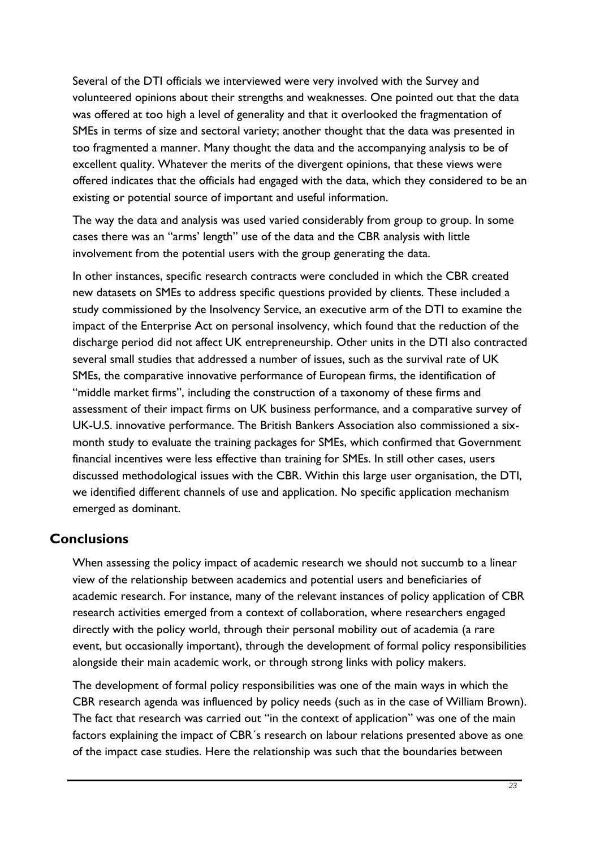<span id="page-34-0"></span>Several of the DTI officials we interviewed were very involved with the Survey and volunteered opinions about their strengths and weaknesses. One pointed out that the data was offered at too high a level of generality and that it overlooked the fragmentation of SMEs in terms of size and sectoral variety; another thought that the data was presented in too fragmented a manner. Many thought the data and the accompanying analysis to be of excellent quality. Whatever the merits of the divergent opinions, that these views were offered indicates that the officials had engaged with the data, which they considered to be an existing or potential source of important and useful information.

The way the data and analysis was used varied considerably from group to group. In some cases there was an "arms' length" use of the data and the CBR analysis with little involvement from the potential users with the group generating the data.

In other instances, specific research contracts were concluded in which the CBR created new datasets on SMEs to address specific questions provided by clients. These included a study commissioned by the Insolvency Service, an executive arm of the DTI to examine the impact of the Enterprise Act on personal insolvency, which found that the reduction of the discharge period did not affect UK entrepreneurship. Other units in the DTI also contracted several small studies that addressed a number of issues, such as the survival rate of UK SMEs, the comparative innovative performance of European firms, the identification of "middle market firms", including the construction of a taxonomy of these firms and assessment of their impact firms on UK business performance, and a comparative survey of UK-U.S. innovative performance. The British Bankers Association also commissioned a sixmonth study to evaluate the training packages for SMEs, which confirmed that Government financial incentives were less effective than training for SMEs. In still other cases, users discussed methodological issues with the CBR. Within this large user organisation, the DTI, we identified different channels of use and application. No specific application mechanism emerged as dominant.

# **Conclusions**

When assessing the policy impact of academic research we should not succumb to a linear view of the relationship between academics and potential users and beneficiaries of academic research. For instance, many of the relevant instances of policy application of CBR research activities emerged from a context of collaboration, where researchers engaged directly with the policy world, through their personal mobility out of academia (a rare event, but occasionally important), through the development of formal policy responsibilities alongside their main academic work, or through strong links with policy makers.

The development of formal policy responsibilities was one of the main ways in which the CBR research agenda was influenced by policy needs (such as in the case of William Brown). The fact that research was carried out "in the context of application" was one of the main factors explaining the impact of CBR´s research on labour relations presented above as one of the impact case studies. Here the relationship was such that the boundaries between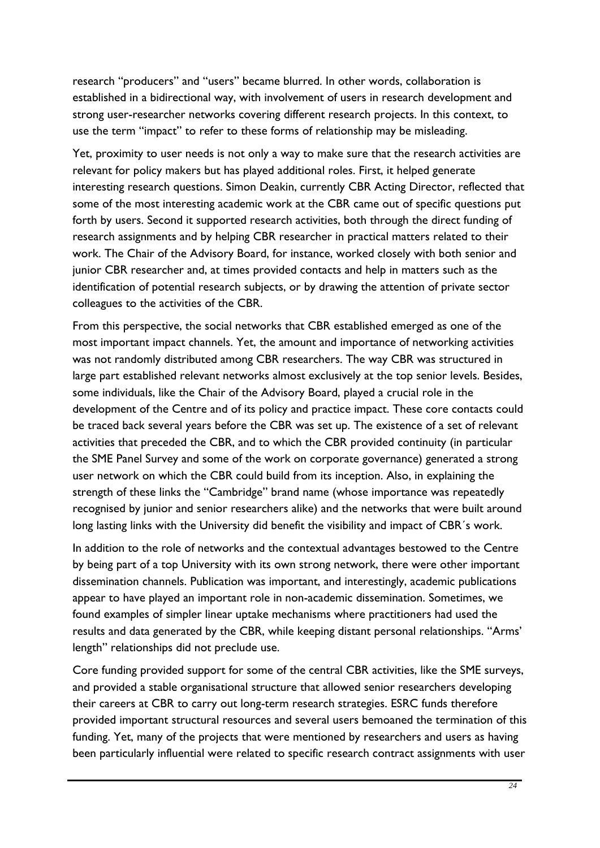research "producers" and "users" became blurred. In other words, collaboration is established in a bidirectional way, with involvement of users in research development and strong user-researcher networks covering different research projects. In this context, to use the term "impact" to refer to these forms of relationship may be misleading.

Yet, proximity to user needs is not only a way to make sure that the research activities are relevant for policy makers but has played additional roles. First, it helped generate interesting research questions. Simon Deakin, currently CBR Acting Director, reflected that some of the most interesting academic work at the CBR came out of specific questions put forth by users. Second it supported research activities, both through the direct funding of research assignments and by helping CBR researcher in practical matters related to their work. The Chair of the Advisory Board, for instance, worked closely with both senior and junior CBR researcher and, at times provided contacts and help in matters such as the identification of potential research subjects, or by drawing the attention of private sector colleagues to the activities of the CBR.

From this perspective, the social networks that CBR established emerged as one of the most important impact channels. Yet, the amount and importance of networking activities was not randomly distributed among CBR researchers. The way CBR was structured in large part established relevant networks almost exclusively at the top senior levels. Besides, some individuals, like the Chair of the Advisory Board, played a crucial role in the development of the Centre and of its policy and practice impact. These core contacts could be traced back several years before the CBR was set up. The existence of a set of relevant activities that preceded the CBR, and to which the CBR provided continuity (in particular the SME Panel Survey and some of the work on corporate governance) generated a strong user network on which the CBR could build from its inception. Also, in explaining the strength of these links the "Cambridge" brand name (whose importance was repeatedly recognised by junior and senior researchers alike) and the networks that were built around long lasting links with the University did benefit the visibility and impact of CBR´s work.

In addition to the role of networks and the contextual advantages bestowed to the Centre by being part of a top University with its own strong network, there were other important dissemination channels. Publication was important, and interestingly, academic publications appear to have played an important role in non-academic dissemination. Sometimes, we found examples of simpler linear uptake mechanisms where practitioners had used the results and data generated by the CBR, while keeping distant personal relationships. "Arms' length" relationships did not preclude use.

Core funding provided support for some of the central CBR activities, like the SME surveys, and provided a stable organisational structure that allowed senior researchers developing their careers at CBR to carry out long-term research strategies. ESRC funds therefore provided important structural resources and several users bemoaned the termination of this funding. Yet, many of the projects that were mentioned by researchers and users as having been particularly influential were related to specific research contract assignments with user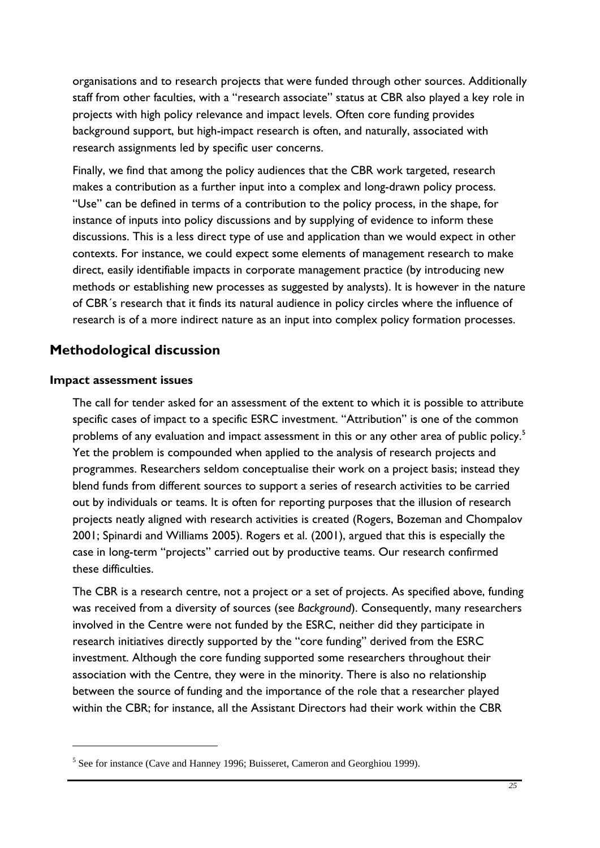<span id="page-36-0"></span>organisations and to research projects that were funded through other sources. Additionally staff from other faculties, with a "research associate" status at CBR also played a key role in projects with high policy relevance and impact levels. Often core funding provides background support, but high-impact research is often, and naturally, associated with research assignments led by specific user concerns.

Finally, we find that among the policy audiences that the CBR work targeted, research makes a contribution as a further input into a complex and long-drawn policy process. "Use" can be defined in terms of a contribution to the policy process, in the shape, for instance of inputs into policy discussions and by supplying of evidence to inform these discussions. This is a less direct type of use and application than we would expect in other contexts. For instance, we could expect some elements of management research to make direct, easily identifiable impacts in corporate management practice (by introducing new methods or establishing new processes as suggested by analysts). It is however in the nature of CBR´s research that it finds its natural audience in policy circles where the influence of research is of a more indirect nature as an input into complex policy formation processes.

# **Methodological discussion**

#### **Impact assessment issues**

1

The call for tender asked for an assessment of the extent to which it is possible to attribute specific cases of impact to a specific ESRC investment. "Attribution" is one of the common problems of any evaluation and impact assessment in this or any other area of public policy.<sup>[5](#page-36-0)</sup> Yet the problem is compounded when applied to the analysis of research projects and programmes. Researchers seldom conceptualise their work on a project basis; instead they blend funds from different sources to support a series of research activities to be carried out by individuals or teams. It is often for reporting purposes that the illusion of research projects neatly aligned with research activities is created (Rogers, Bozeman and Chompalov 2001; Spinardi and Williams 2005). Rogers et al. (2001), argued that this is especially the case in long-term "projects" carried out by productive teams. Our research confirmed these difficulties.

The CBR is a research centre, not a project or a set of projects. As specified above, funding was received from a diversity of sources (see *Background*). Consequently, many researchers involved in the Centre were not funded by the ESRC, neither did they participate in research initiatives directly supported by the "core funding" derived from the ESRC investment. Although the core funding supported some researchers throughout their association with the Centre, they were in the minority. There is also no relationship between the source of funding and the importance of the role that a researcher played within the CBR; for instance, all the Assistant Directors had their work within the CBR

<sup>&</sup>lt;sup>5</sup> See for instance (Cave and Hanney 1996; Buisseret, Cameron and Georghiou 1999).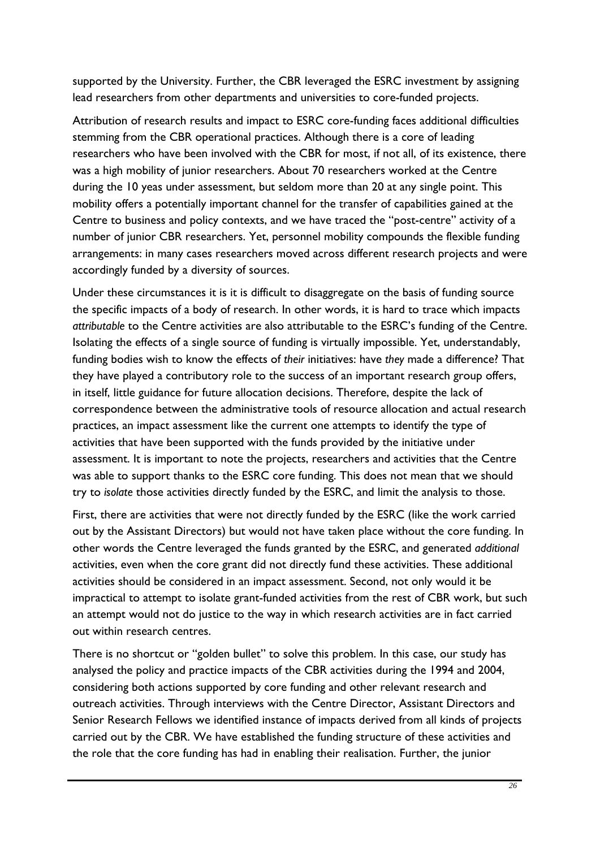supported by the University. Further, the CBR leveraged the ESRC investment by assigning lead researchers from other departments and universities to core-funded projects.

Attribution of research results and impact to ESRC core-funding faces additional difficulties stemming from the CBR operational practices. Although there is a core of leading researchers who have been involved with the CBR for most, if not all, of its existence, there was a high mobility of junior researchers. About 70 researchers worked at the Centre during the 10 yeas under assessment, but seldom more than 20 at any single point. This mobility offers a potentially important channel for the transfer of capabilities gained at the Centre to business and policy contexts, and we have traced the "post-centre" activity of a number of junior CBR researchers. Yet, personnel mobility compounds the flexible funding arrangements: in many cases researchers moved across different research projects and were accordingly funded by a diversity of sources.

Under these circumstances it is it is difficult to disaggregate on the basis of funding source the specific impacts of a body of research. In other words, it is hard to trace which impacts *attributable* to the Centre activities are also attributable to the ESRC's funding of the Centre. Isolating the effects of a single source of funding is virtually impossible. Yet, understandably, funding bodies wish to know the effects of *their* initiatives: have *they* made a difference? That they have played a contributory role to the success of an important research group offers, in itself, little guidance for future allocation decisions. Therefore, despite the lack of correspondence between the administrative tools of resource allocation and actual research practices, an impact assessment like the current one attempts to identify the type of activities that have been supported with the funds provided by the initiative under assessment. It is important to note the projects, researchers and activities that the Centre was able to support thanks to the ESRC core funding. This does not mean that we should try to *isolate* those activities directly funded by the ESRC, and limit the analysis to those.

First, there are activities that were not directly funded by the ESRC (like the work carried out by the Assistant Directors) but would not have taken place without the core funding. In other words the Centre leveraged the funds granted by the ESRC, and generated *additional* activities, even when the core grant did not directly fund these activities. These additional activities should be considered in an impact assessment. Second, not only would it be impractical to attempt to isolate grant-funded activities from the rest of CBR work, but such an attempt would not do justice to the way in which research activities are in fact carried out within research centres.

There is no shortcut or "golden bullet" to solve this problem. In this case, our study has analysed the policy and practice impacts of the CBR activities during the 1994 and 2004, considering both actions supported by core funding and other relevant research and outreach activities. Through interviews with the Centre Director, Assistant Directors and Senior Research Fellows we identified instance of impacts derived from all kinds of projects carried out by the CBR. We have established the funding structure of these activities and the role that the core funding has had in enabling their realisation. Further, the junior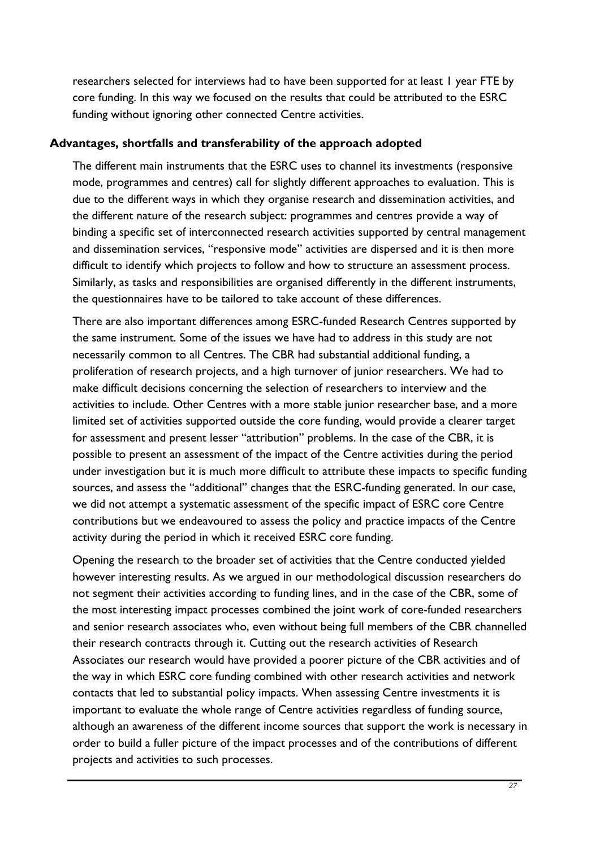<span id="page-38-0"></span>researchers selected for interviews had to have been supported for at least 1 year FTE by core funding. In this way we focused on the results that could be attributed to the ESRC funding without ignoring other connected Centre activities.

#### **Advantages, shortfalls and transferability of the approach adopted**

The different main instruments that the ESRC uses to channel its investments (responsive mode, programmes and centres) call for slightly different approaches to evaluation. This is due to the different ways in which they organise research and dissemination activities, and the different nature of the research subject: programmes and centres provide a way of binding a specific set of interconnected research activities supported by central management and dissemination services, "responsive mode" activities are dispersed and it is then more difficult to identify which projects to follow and how to structure an assessment process. Similarly, as tasks and responsibilities are organised differently in the different instruments, the questionnaires have to be tailored to take account of these differences.

There are also important differences among ESRC-funded Research Centres supported by the same instrument. Some of the issues we have had to address in this study are not necessarily common to all Centres. The CBR had substantial additional funding, a proliferation of research projects, and a high turnover of junior researchers. We had to make difficult decisions concerning the selection of researchers to interview and the activities to include. Other Centres with a more stable junior researcher base, and a more limited set of activities supported outside the core funding, would provide a clearer target for assessment and present lesser "attribution" problems. In the case of the CBR, it is possible to present an assessment of the impact of the Centre activities during the period under investigation but it is much more difficult to attribute these impacts to specific funding sources, and assess the "additional" changes that the ESRC-funding generated. In our case, we did not attempt a systematic assessment of the specific impact of ESRC core Centre contributions but we endeavoured to assess the policy and practice impacts of the Centre activity during the period in which it received ESRC core funding.

Opening the research to the broader set of activities that the Centre conducted yielded however interesting results. As we argued in our methodological discussion researchers do not segment their activities according to funding lines, and in the case of the CBR, some of the most interesting impact processes combined the joint work of core-funded researchers and senior research associates who, even without being full members of the CBR channelled their research contracts through it. Cutting out the research activities of Research Associates our research would have provided a poorer picture of the CBR activities and of the way in which ESRC core funding combined with other research activities and network contacts that led to substantial policy impacts. When assessing Centre investments it is important to evaluate the whole range of Centre activities regardless of funding source, although an awareness of the different income sources that support the work is necessary in order to build a fuller picture of the impact processes and of the contributions of different projects and activities to such processes.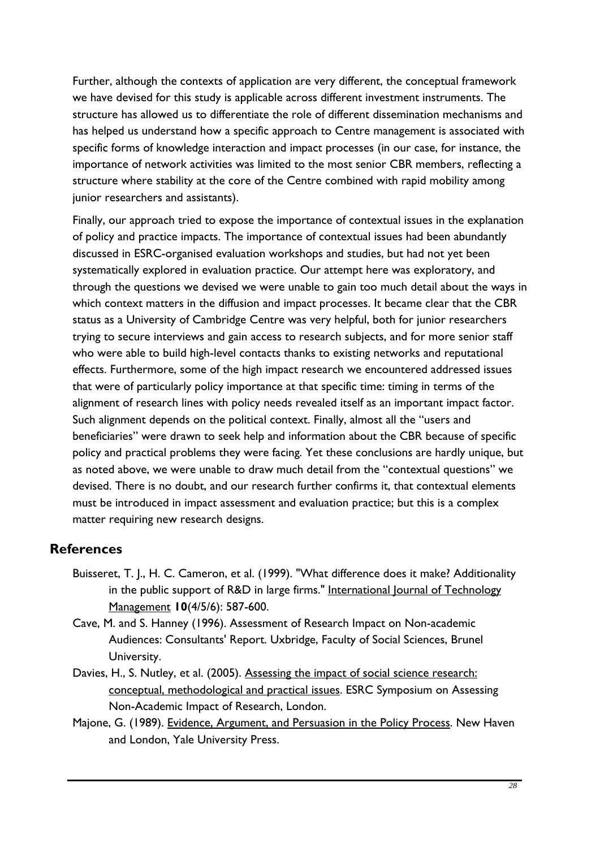<span id="page-39-0"></span>Further, although the contexts of application are very different, the conceptual framework we have devised for this study is applicable across different investment instruments. The structure has allowed us to differentiate the role of different dissemination mechanisms and has helped us understand how a specific approach to Centre management is associated with specific forms of knowledge interaction and impact processes (in our case, for instance, the importance of network activities was limited to the most senior CBR members, reflecting a structure where stability at the core of the Centre combined with rapid mobility among junior researchers and assistants).

Finally, our approach tried to expose the importance of contextual issues in the explanation of policy and practice impacts. The importance of contextual issues had been abundantly discussed in ESRC-organised evaluation workshops and studies, but had not yet been systematically explored in evaluation practice. Our attempt here was exploratory, and through the questions we devised we were unable to gain too much detail about the ways in which context matters in the diffusion and impact processes. It became clear that the CBR status as a University of Cambridge Centre was very helpful, both for junior researchers trying to secure interviews and gain access to research subjects, and for more senior staff who were able to build high-level contacts thanks to existing networks and reputational effects. Furthermore, some of the high impact research we encountered addressed issues that were of particularly policy importance at that specific time: timing in terms of the alignment of research lines with policy needs revealed itself as an important impact factor. Such alignment depends on the political context. Finally, almost all the "users and beneficiaries" were drawn to seek help and information about the CBR because of specific policy and practical problems they were facing. Yet these conclusions are hardly unique, but as noted above, we were unable to draw much detail from the "contextual questions" we devised. There is no doubt, and our research further confirms it, that contextual elements must be introduced in impact assessment and evaluation practice; but this is a complex matter requiring new research designs.

# **References**

- Buisseret, T. J., H. C. Cameron, et al. (1999). "What difference does it make? Additionality in the public support of R&D in large firms." International Journal of Technology Management **10**(4/5/6): 587-600.
- Cave, M. and S. Hanney (1996). Assessment of Research Impact on Non-academic Audiences: Consultants' Report. Uxbridge, Faculty of Social Sciences, Brunel University.
- Davies, H., S. Nutley, et al. (2005). Assessing the impact of social science research: conceptual, methodological and practical issues. ESRC Symposium on Assessing Non-Academic Impact of Research, London.
- Majone, G. (1989). Evidence, Argument, and Persuasion in the Policy Process. New Haven and London, Yale University Press.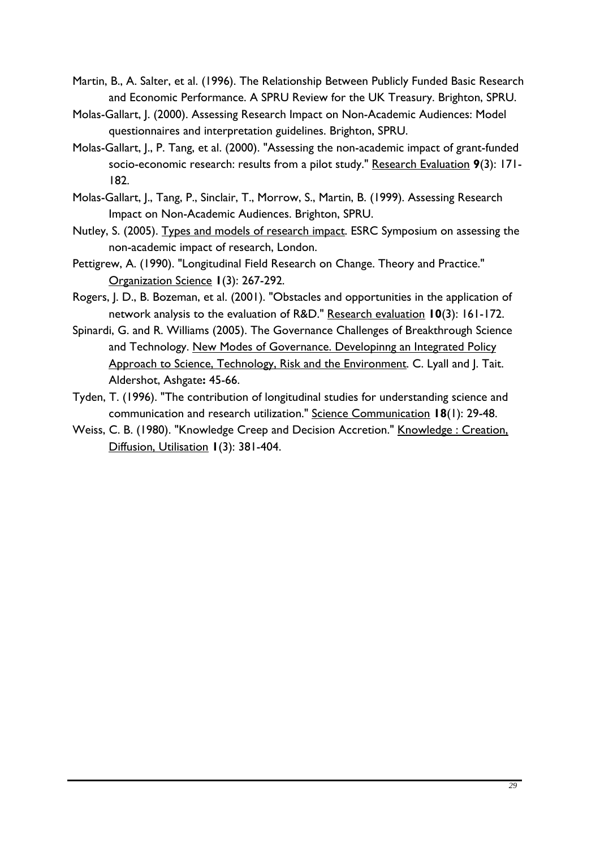- Martin, B., A. Salter, et al. (1996). The Relationship Between Publicly Funded Basic Research and Economic Performance. A SPRU Review for the UK Treasury. Brighton, SPRU.
- Molas-Gallart, J. (2000). Assessing Research Impact on Non-Academic Audiences: Model questionnaires and interpretation guidelines. Brighton, SPRU.
- Molas-Gallart, J., P. Tang, et al. (2000). "Assessing the non-academic impact of grant-funded socio-economic research: results from a pilot study." Research Evaluation **9**(3): 171- 182.
- Molas-Gallart, J., Tang, P., Sinclair, T., Morrow, S., Martin, B. (1999). Assessing Research Impact on Non-Academic Audiences. Brighton, SPRU.
- Nutley, S. (2005). Types and models of research impact. ESRC Symposium on assessing the non-academic impact of research, London.
- Pettigrew, A. (1990). "Longitudinal Field Research on Change. Theory and Practice." Organization Science **1**(3): 267-292.
- Rogers, J. D., B. Bozeman, et al. (2001). "Obstacles and opportunities in the application of network analysis to the evaluation of R&D." Research evaluation **10**(3): 161-172.
- Spinardi, G. and R. Williams (2005). The Governance Challenges of Breakthrough Science and Technology. New Modes of Governance. Developinng an Integrated Policy Approach to Science, Technology, Risk and the Environment. C. Lyall and J. Tait. Aldershot, Ashgate**:** 45-66.
- Tyden, T. (1996). "The contribution of longitudinal studies for understanding science and communication and research utilization." Science Communication **18**(1): 29-48.
- Weiss, C. B. (1980). "Knowledge Creep and Decision Accretion." Knowledge : Creation, Diffusion, Utilisation **1**(3): 381-404.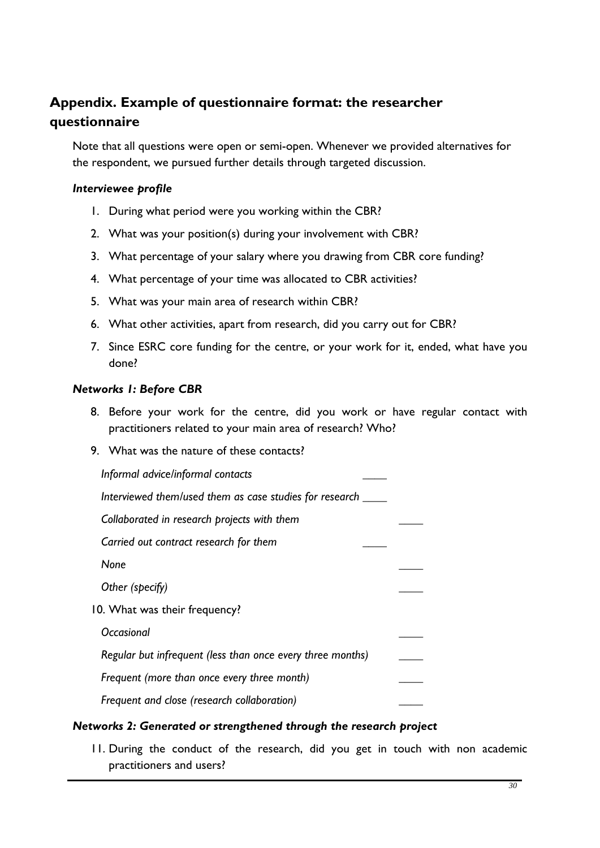# <span id="page-41-0"></span>**Appendix. Example of questionnaire format: the researcher questionnaire**

Note that all questions were open or semi-open. Whenever we provided alternatives for the respondent, we pursued further details through targeted discussion.

#### *Interviewee profile*

- 1. During what period were you working within the CBR?
- 2. What was your position(s) during your involvement with CBR?
- 3. What percentage of your salary where you drawing from CBR core funding?
- 4. What percentage of your time was allocated to CBR activities?
- 5. What was your main area of research within CBR?
- 6. What other activities, apart from research, did you carry out for CBR?
- 7. Since ESRC core funding for the centre, or your work for it, ended, what have you done?

#### *Networks 1: Before CBR*

- 8. Before your work for the centre, did you work or have regular contact with practitioners related to your main area of research? Who?
- 9. What was the nature of these contacts?

| Informal advice/informal contacts                          |  |
|------------------------------------------------------------|--|
| Interviewed them/used them as case studies for research    |  |
| Collaborated in research projects with them                |  |
| Carried out contract research for them                     |  |
| None                                                       |  |
| Other (specify)                                            |  |
| 10. What was their frequency?                              |  |
| Occasional                                                 |  |
| Regular but infrequent (less than once every three months) |  |
| Frequent (more than once every three month)                |  |
| Frequent and close (research collaboration)                |  |

# *Networks 2: Generated or strengthened through the research project*

11. During the conduct of the research, did you get in touch with non academic practitioners and users?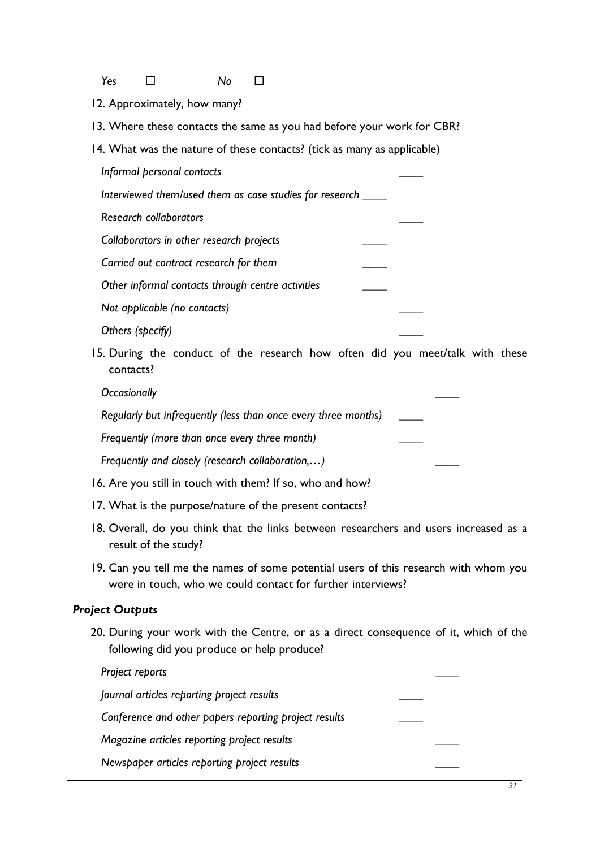*Yes No*

- 12. Approximately, how many?
- 13. Where these contacts the same as you had before your work for CBR?
- 14. What was the nature of these contacts? (tick as many as applicable)

 *Informal personal contacts \_\_\_\_* 

 *Interviewed them/used them as case studies for research \_\_\_\_* 

 *Research collaborators \_\_\_\_* 

 *Collaborators in other research projects \_\_\_\_ Carried out contract research for them \_\_\_\_* 

 *Other informal contacts through centre activities \_\_\_\_* 

 *Not applicable (no contacts) \_\_\_\_* 

 *Others (specify) \_\_\_\_* 

15. During the conduct of the research how often did you meet/talk with these contacts?

*Occasionally \_\_\_\_* 

 *Regularly but infrequently (less than once every three months) \_\_\_\_* 

 *Frequently (more than once every three month) \_\_\_\_* 

*Frequently and closely (research collaboration,...)* 

- 16. Are you still in touch with them? If so, who and how?
- 17. What is the purpose/nature of the present contacts?
- 18. Overall, do you think that the links between researchers and users increased as a result of the study?
- 19. Can you tell me the names of some potential users of this research with whom you were in touch, who we could contact for further interviews?

# *Project Outputs*

20. During your work with the Centre, or as a direct consequence of it, which of the following did you produce or help produce?

| Project reports                                       |  |
|-------------------------------------------------------|--|
| Journal articles reporting project results            |  |
| Conference and other papers reporting project results |  |
| Magazine articles reporting project results           |  |
| Newspaper articles reporting project results          |  |
|                                                       |  |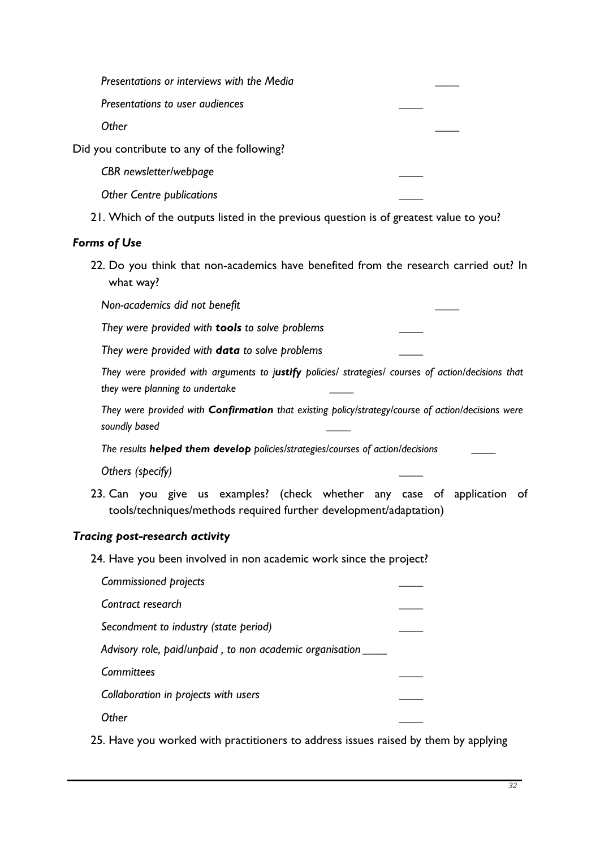|                                             | Presentations or interviews with the Media |  |
|---------------------------------------------|--------------------------------------------|--|
|                                             | Presentations to user audiences            |  |
|                                             | Other                                      |  |
| Did you contribute to any of the following? |                                            |  |
|                                             | CBR newsletter/webpage                     |  |
|                                             | <b>Other Centre publications</b>           |  |
|                                             |                                            |  |

21. Which of the outputs listed in the previous question is of greatest value to you?

#### *Forms of Use*

22. Do you think that non-academics have benefited from the research carried out? In what way?

 *Non-academics did not benefit \_\_\_\_* 

 *They were provided with tools to solve problems \_\_\_\_* 

 *They were provided with data to solve problems \_\_\_\_* 

*They were provided with arguments to justify policies/ strategies/ courses of action/decisions that they were planning to undertake \_\_\_\_* 

*They were provided with Confirmation that existing policy/strategy/course of action/decisions were soundly based \_\_\_\_* 

*The results helped them develop policies/strategies/courses of action/decisions \_\_\_\_* 

 *Others (specify) \_\_\_\_* 

23. Can you give us examples? (check whether any case of application of tools/techniques/methods required further development/adaptation)

#### *Tracing post-research activity*

24. Have you been involved in non academic work since the project?

| Commissioned projects                                         |  |
|---------------------------------------------------------------|--|
| Contract research                                             |  |
| Secondment to industry (state period)                         |  |
| Advisory role, paid/unpaid, to non academic organisation ____ |  |
| Committees                                                    |  |
| Collaboration in projects with users                          |  |
| <b>Ther</b>                                                   |  |

25. Have you worked with practitioners to address issues raised by them by applying